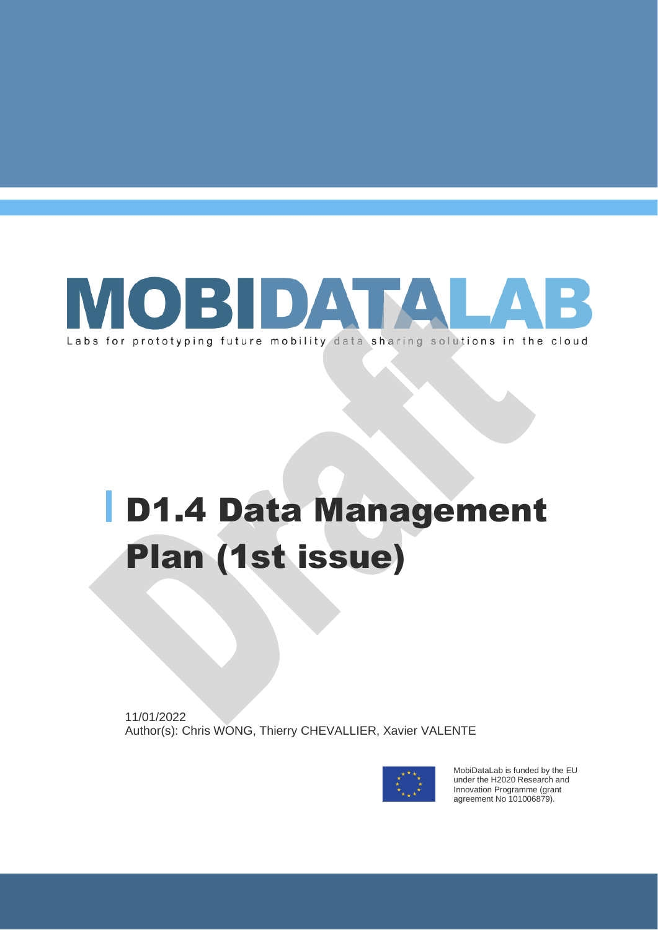

# D1.4 Data Management Plan (1st issue)

11/01/2022 Author(s): Chris WONG, Thierry CHEVALLIER, Xavier VALENTE



MobiDataLab is funded by the EU under the H2020 Research and Innovation Programme (grant agreement No 101006879).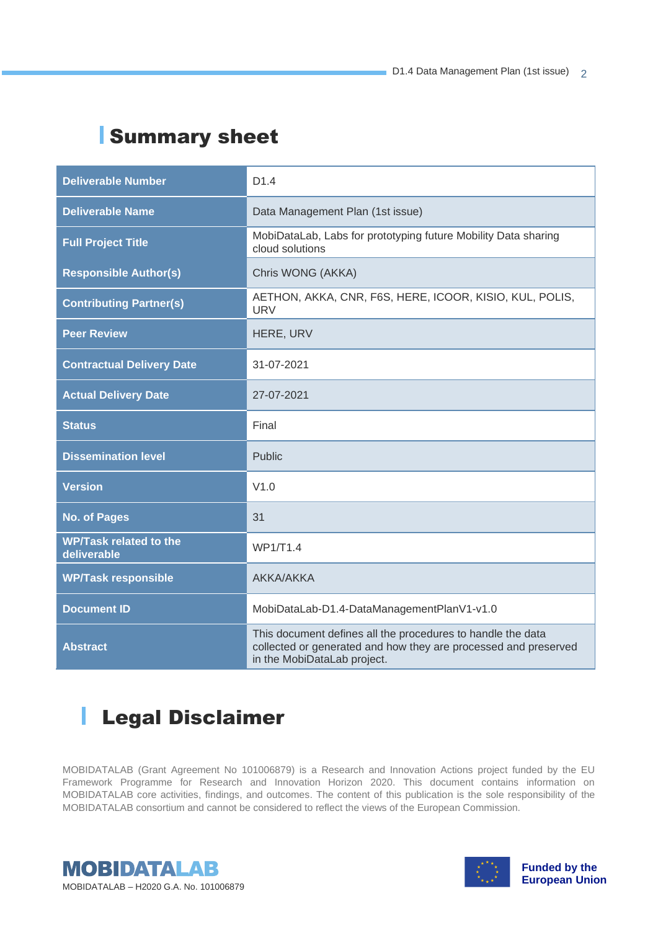### Summary sheet

| <b>Deliverable Number</b>                    | D <sub>1.4</sub>                                                                                                                                              |  |
|----------------------------------------------|---------------------------------------------------------------------------------------------------------------------------------------------------------------|--|
| <b>Deliverable Name</b>                      | Data Management Plan (1st issue)                                                                                                                              |  |
| <b>Full Project Title</b>                    | MobiDataLab, Labs for prototyping future Mobility Data sharing<br>cloud solutions                                                                             |  |
| <b>Responsible Author(s)</b>                 | Chris WONG (AKKA)                                                                                                                                             |  |
| <b>Contributing Partner(s)</b>               | AETHON, AKKA, CNR, F6S, HERE, ICOOR, KISIO, KUL, POLIS,<br><b>URV</b>                                                                                         |  |
| <b>Peer Review</b>                           | HERE, URV                                                                                                                                                     |  |
| <b>Contractual Delivery Date</b>             | 31-07-2021                                                                                                                                                    |  |
| <b>Actual Delivery Date</b>                  | 27-07-2021                                                                                                                                                    |  |
| <b>Status</b>                                | Final                                                                                                                                                         |  |
| <b>Dissemination level</b>                   | Public                                                                                                                                                        |  |
| <b>Version</b>                               | V1.0                                                                                                                                                          |  |
| <b>No. of Pages</b>                          | 31                                                                                                                                                            |  |
| <b>WP/Task related to the</b><br>deliverable | WP1/T1.4                                                                                                                                                      |  |
| <b>WP/Task responsible</b>                   | <b>AKKA/AKKA</b>                                                                                                                                              |  |
| <b>Document ID</b>                           | MobiDataLab-D1.4-DataManagementPlanV1-v1.0                                                                                                                    |  |
| <b>Abstract</b>                              | This document defines all the procedures to handle the data<br>collected or generated and how they are processed and preserved<br>in the MobiDataLab project. |  |

#### $\mathbb{R}$ Legal Disclaimer

MOBIDATALAB (Grant Agreement No 101006879) is a Research and Innovation Actions project funded by the EU Framework Programme for Research and Innovation Horizon 2020. This document contains information on MOBIDATALAB core activities, findings, and outcomes. The content of this publication is the sole responsibility of the MOBIDATALAB consortium and cannot be considered to reflect the views of the European Commission.



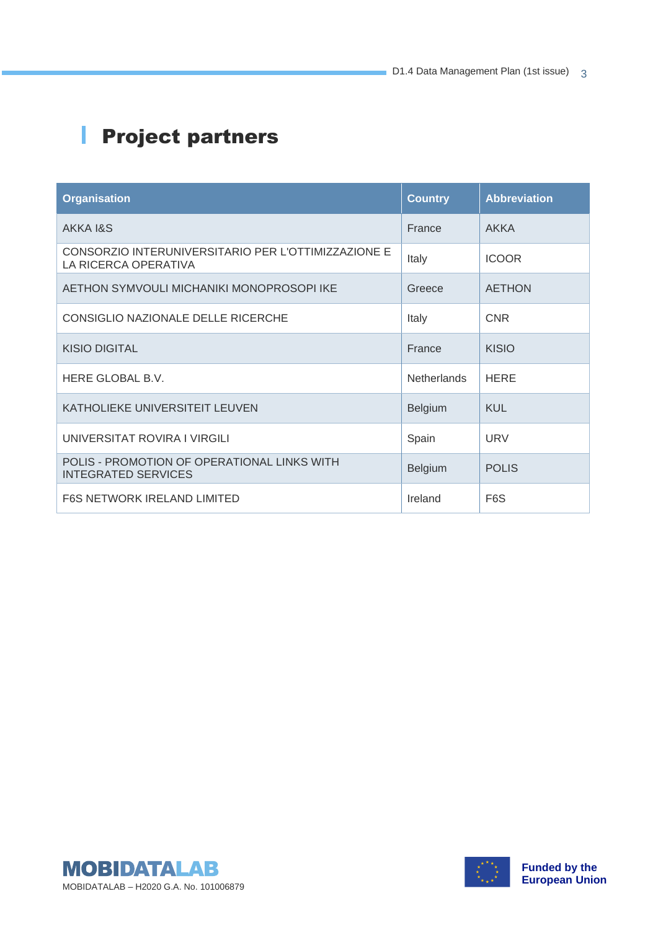# **Project partners**

| <b>Organisation</b>                                                         | <b>Country</b>     | <b>Abbreviation</b> |
|-----------------------------------------------------------------------------|--------------------|---------------------|
| AKKA 1&S                                                                    | France             | <b>AKKA</b>         |
| CONSORZIO INTERUNIVERSITARIO PER L'OTTIMIZZAZIONE E<br>LA RICERCA OPERATIVA | Italy              | <b>ICOOR</b>        |
| AETHON SYMVOULI MICHANIKI MONOPROSOPI IKE                                   | Greece             | <b>AETHON</b>       |
| CONSIGLIO NAZIONALE DELLE RICERCHE                                          | Italy              | <b>CNR</b>          |
| <b>KISIO DIGITAL</b>                                                        | France             | KISIO               |
| HERE GLOBAL B.V.                                                            | <b>Netherlands</b> | <b>HERE</b>         |
| KATHOLIEKE UNIVERSITEIT LEUVEN                                              | <b>Belgium</b>     | <b>KUL</b>          |
| UNIVERSITAT ROVIRA I VIRGILI                                                | Spain              | <b>URV</b>          |
| POLIS - PROMOTION OF OPERATIONAL LINKS WITH<br><b>INTEGRATED SERVICES</b>   | Belgium            | <b>POLIS</b>        |
| <b>F6S NETWORK IRELAND LIMITED</b>                                          | Ireland            | F <sub>6</sub> S    |



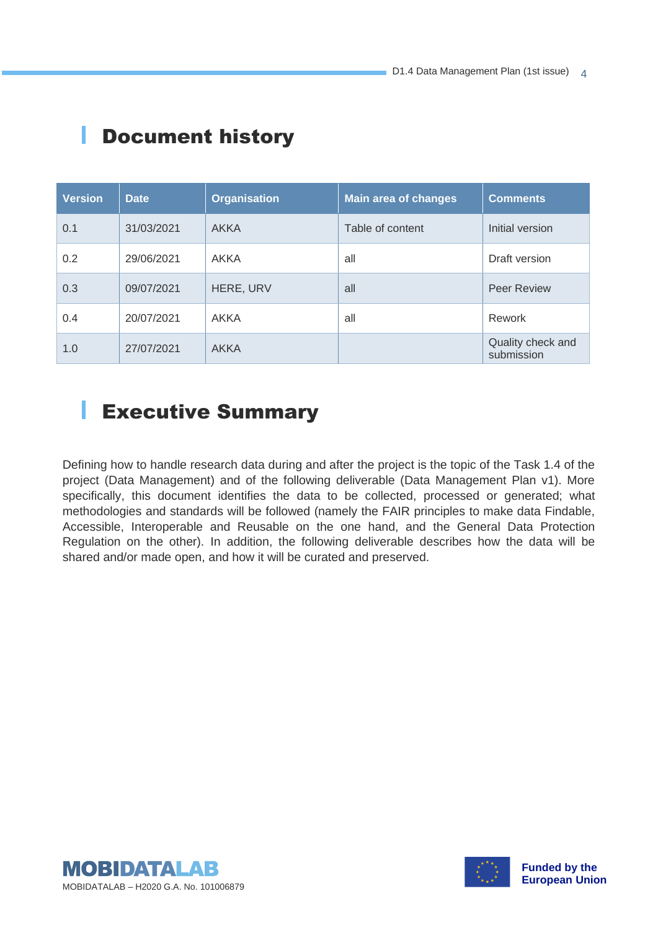| <b>Version</b> | <b>Date</b> | <b>Organisation</b> | <b>Main area of changes</b> | <b>Comments</b>                 |
|----------------|-------------|---------------------|-----------------------------|---------------------------------|
| 0.1            | 31/03/2021  | <b>AKKA</b>         | Table of content            | Initial version                 |
| 0.2            | 29/06/2021  | AKKA                | all                         | Draft version                   |
| 0.3            | 09/07/2021  | HERE, URV           | all                         | <b>Peer Review</b>              |
| 0.4            | 20/07/2021  | <b>AKKA</b>         | all                         | Rework                          |
| 1.0            | 27/07/2021  | <b>AKKA</b>         |                             | Quality check and<br>submission |

### Document history

ı

### Executive Summary

Defining how to handle research data during and after the project is the topic of the Task 1.4 of the project (Data Management) and of the following deliverable (Data Management Plan v1). More specifically, this document identifies the data to be collected, processed or generated; what methodologies and standards will be followed (namely the FAIR principles to make data Findable, Accessible, Interoperable and Reusable on the one hand, and the General Data Protection Regulation on the other). In addition, the following deliverable describes how the data will be shared and/or made open, and how it will be curated and preserved.



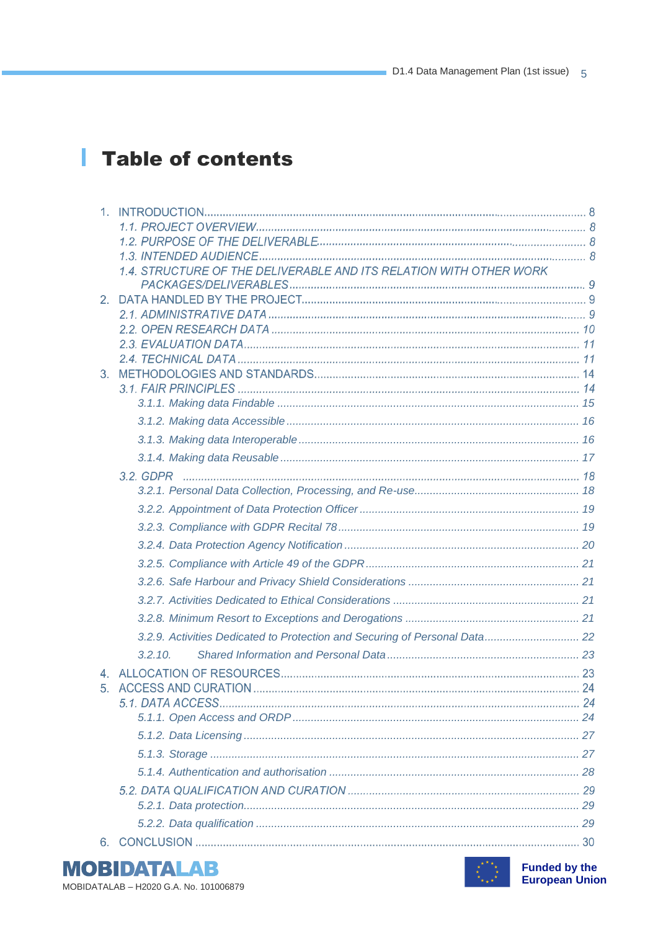### Table of contents

|         | 1.4. STRUCTURE OF THE DELIVERABLE AND ITS RELATION WITH OTHER WORK         |  |
|---------|----------------------------------------------------------------------------|--|
| $2_{-}$ |                                                                            |  |
|         |                                                                            |  |
|         |                                                                            |  |
|         |                                                                            |  |
|         |                                                                            |  |
| 3.      |                                                                            |  |
|         |                                                                            |  |
|         |                                                                            |  |
|         |                                                                            |  |
|         |                                                                            |  |
|         |                                                                            |  |
|         |                                                                            |  |
|         |                                                                            |  |
|         |                                                                            |  |
|         |                                                                            |  |
|         |                                                                            |  |
|         |                                                                            |  |
|         |                                                                            |  |
|         |                                                                            |  |
|         |                                                                            |  |
|         | 3.2.9. Activities Dedicated to Protection and Securing of Personal Data 22 |  |
|         | 3.2.10.                                                                    |  |
|         |                                                                            |  |
|         |                                                                            |  |
|         |                                                                            |  |
|         |                                                                            |  |
|         |                                                                            |  |
|         |                                                                            |  |
|         |                                                                            |  |
|         |                                                                            |  |
|         |                                                                            |  |
|         |                                                                            |  |
|         |                                                                            |  |





**Funded by the European Union**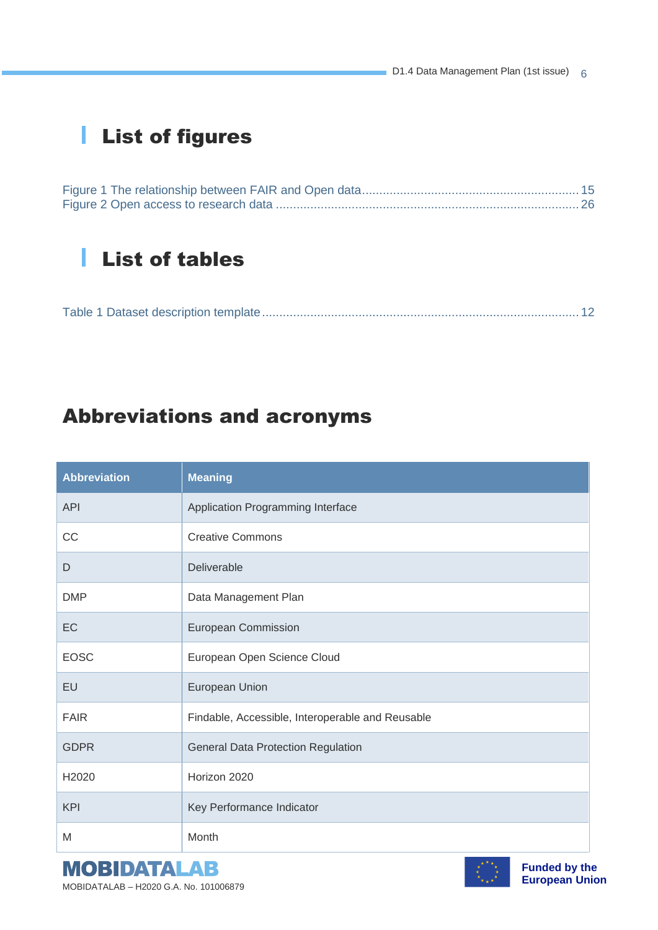## List of figures

### List of tables

|--|

### Abbreviations and acronyms

| <b>Abbreviation</b> | <b>Meaning</b>                                   |
|---------------------|--------------------------------------------------|
| <b>API</b>          | Application Programming Interface                |
| CC                  | <b>Creative Commons</b>                          |
| D                   | <b>Deliverable</b>                               |
| <b>DMP</b>          | Data Management Plan                             |
| EC                  | <b>European Commission</b>                       |
| <b>EOSC</b>         | European Open Science Cloud                      |
| EU                  | European Union                                   |
| <b>FAIR</b>         | Findable, Accessible, Interoperable and Reusable |
| <b>GDPR</b>         | <b>General Data Protection Regulation</b>        |
| H <sub>2020</sub>   | Horizon 2020                                     |
| <b>KPI</b>          | Key Performance Indicator                        |
| M                   | Month                                            |

**MOBIDATALAB** MOBIDATALAB – H2020 G.A. No. 101006879

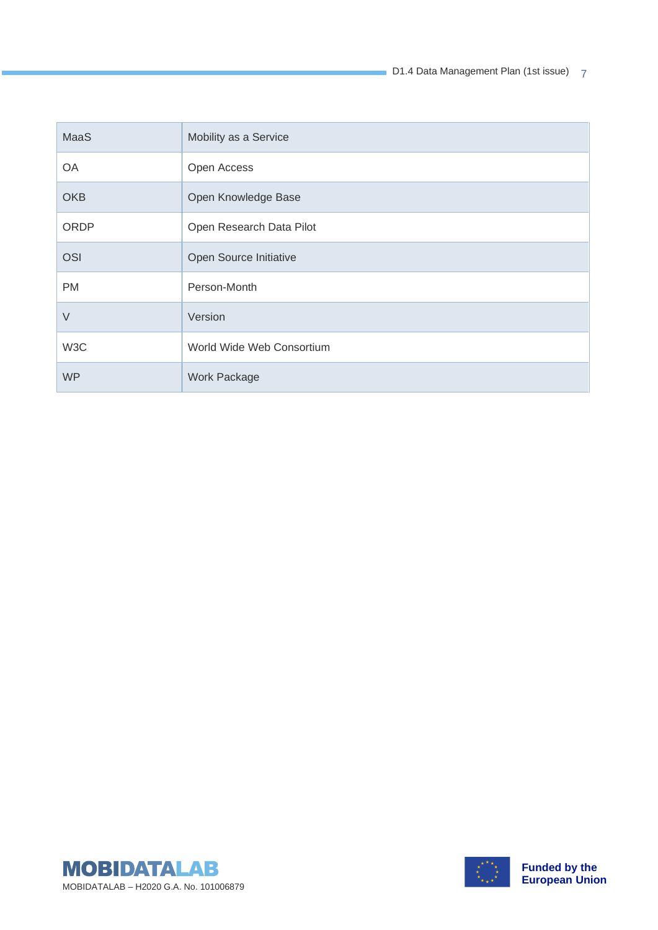D1.4 Data Management Plan (1st issue) 7

| MaaS        | Mobility as a Service     |
|-------------|---------------------------|
| OA          | Open Access               |
| <b>OKB</b>  | Open Knowledge Base       |
| <b>ORDP</b> | Open Research Data Pilot  |
| <b>OSI</b>  | Open Source Initiative    |
| <b>PM</b>   | Person-Month              |
| $\vee$      | Version                   |
| W3C         | World Wide Web Consortium |
| <b>WP</b>   | <b>Work Package</b>       |



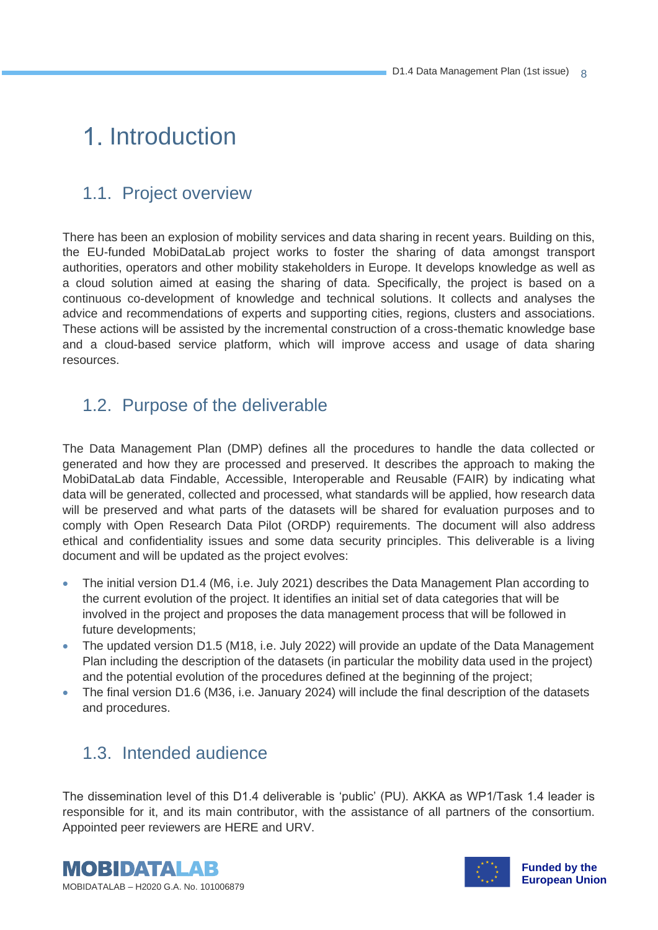### 1. Introduction

#### 1.1. Project overview

There has been an explosion of mobility services and data sharing in recent years. Building on this, the EU-funded MobiDataLab project works to foster the sharing of data amongst transport authorities, operators and other mobility stakeholders in Europe. It develops knowledge as well as a cloud solution aimed at easing the sharing of data. Specifically, the project is based on a continuous co-development of knowledge and technical solutions. It collects and analyses the advice and recommendations of experts and supporting cities, regions, clusters and associations. These actions will be assisted by the incremental construction of a cross-thematic knowledge base and a cloud-based service platform, which will improve access and usage of data sharing resources.

#### 1.2. Purpose of the deliverable

The Data Management Plan (DMP) defines all the procedures to handle the data collected or generated and how they are processed and preserved. It describes the approach to making the MobiDataLab data Findable, Accessible, Interoperable and Reusable (FAIR) by indicating what data will be generated, collected and processed, what standards will be applied, how research data will be preserved and what parts of the datasets will be shared for evaluation purposes and to comply with Open Research Data Pilot (ORDP) requirements. The document will also address ethical and confidentiality issues and some data security principles. This deliverable is a living document and will be updated as the project evolves:

- The initial version D1.4 (M6, i.e. July 2021) describes the Data Management Plan according to the current evolution of the project. It identifies an initial set of data categories that will be involved in the project and proposes the data management process that will be followed in future developments;
- The updated version D1.5 (M18, i.e. July 2022) will provide an update of the Data Management Plan including the description of the datasets (in particular the mobility data used in the project) and the potential evolution of the procedures defined at the beginning of the project;
- The final version D1.6 (M36, i.e. January 2024) will include the final description of the datasets and procedures.

#### 1.3. Intended audience

The dissemination level of this D1.4 deliverable is 'public' (PU). AKKA as WP1/Task 1.4 leader is responsible for it, and its main contributor, with the assistance of all partners of the consortium. Appointed peer reviewers are HERE and URV.



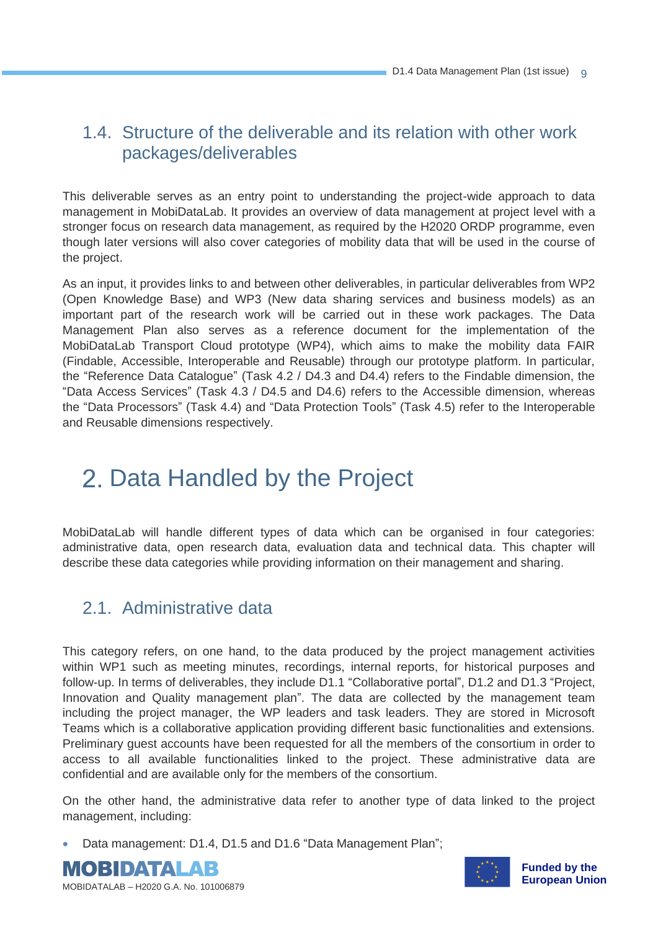#### 1.4. Structure of the deliverable and its relation with other work packages/deliverables

This deliverable serves as an entry point to understanding the project-wide approach to data management in MobiDataLab. It provides an overview of data management at project level with a stronger focus on research data management, as required by the H2020 ORDP programme, even though later versions will also cover categories of mobility data that will be used in the course of the project.

As an input, it provides links to and between other deliverables, in particular deliverables from WP2 (Open Knowledge Base) and WP3 (New data sharing services and business models) as an important part of the research work will be carried out in these work packages. The Data Management Plan also serves as a reference document for the implementation of the MobiDataLab Transport Cloud prototype (WP4), which aims to make the mobility data FAIR (Findable, Accessible, Interoperable and Reusable) through our prototype platform. In particular, the "Reference Data Catalogue" (Task 4.2 / D4.3 and D4.4) refers to the Findable dimension, the "Data Access Services" (Task 4.3 / D4.5 and D4.6) refers to the Accessible dimension, whereas the "Data Processors" (Task 4.4) and "Data Protection Tools" (Task 4.5) refer to the Interoperable and Reusable dimensions respectively.

### 2. Data Handled by the Project

MobiDataLab will handle different types of data which can be organised in four categories: administrative data, open research data, evaluation data and technical data. This chapter will describe these data categories while providing information on their management and sharing.

#### 2.1. Administrative data

This category refers, on one hand, to the data produced by the project management activities within WP1 such as meeting minutes, recordings, internal reports, for historical purposes and follow-up. In terms of deliverables, they include D1.1 "Collaborative portal", D1.2 and D1.3 "Project, Innovation and Quality management plan". The data are collected by the management team including the project manager, the WP leaders and task leaders. They are stored in Microsoft Teams which is a collaborative application providing different basic functionalities and extensions. Preliminary guest accounts have been requested for all the members of the consortium in order to access to all available functionalities linked to the project. These administrative data are confidential and are available only for the members of the consortium.

On the other hand, the administrative data refer to another type of data linked to the project management, including:

• Data management: D1.4, D1.5 and D1.6 "Data Management Plan";





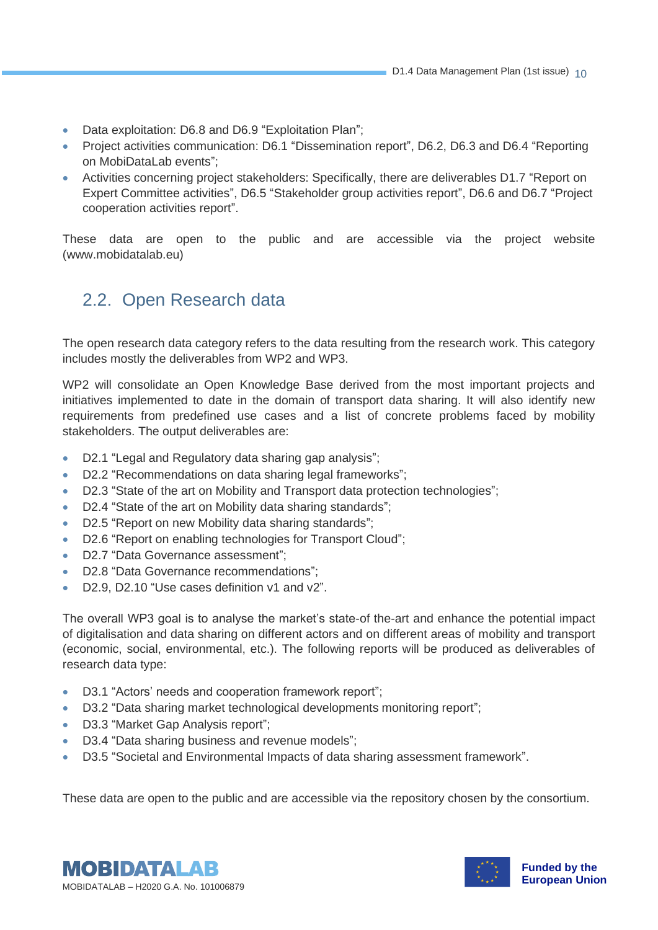- Data exploitation: D6.8 and D6.9 "Exploitation Plan";
- Project activities communication: D6.1 "Dissemination report", D6.2, D6.3 and D6.4 "Reporting on MobiDataLab events";
- Activities concerning project stakeholders: Specifically, there are deliverables D1.7 "Report on Expert Committee activities", D6.5 "Stakeholder group activities report", D6.6 and D6.7 "Project cooperation activities report".

These data are open to the public and are accessible via the project website (www.mobidatalab.eu)

#### 2.2. Open Research data

The open research data category refers to the data resulting from the research work. This category includes mostly the deliverables from WP2 and WP3.

WP2 will consolidate an Open Knowledge Base derived from the most important projects and initiatives implemented to date in the domain of transport data sharing. It will also identify new requirements from predefined use cases and a list of concrete problems faced by mobility stakeholders. The output deliverables are:

- D2.1 "Legal and Regulatory data sharing gap analysis";
- D2.2 "Recommendations on data sharing legal frameworks";
- D2.3 "State of the art on Mobility and Transport data protection technologies";
- D2.4 "State of the art on Mobility data sharing standards";
- D2.5 "Report on new Mobility data sharing standards";
- D2.6 "Report on enabling technologies for Transport Cloud";
- D2.7 "Data Governance assessment":
- D2.8 "Data Governance recommendations";
- D2.9, D2.10 "Use cases definition v1 and v2".

The overall WP3 goal is to analyse the market's state-of the-art and enhance the potential impact of digitalisation and data sharing on different actors and on different areas of mobility and transport (economic, social, environmental, etc.). The following reports will be produced as deliverables of research data type:

- D3.1 "Actors' needs and cooperation framework report";
- D3.2 "Data sharing market technological developments monitoring report";
- D3.3 "Market Gap Analysis report";
- D3.4 "Data sharing business and revenue models";
- D3.5 "Societal and Environmental Impacts of data sharing assessment framework".

These data are open to the public and are accessible via the repository chosen by the consortium.



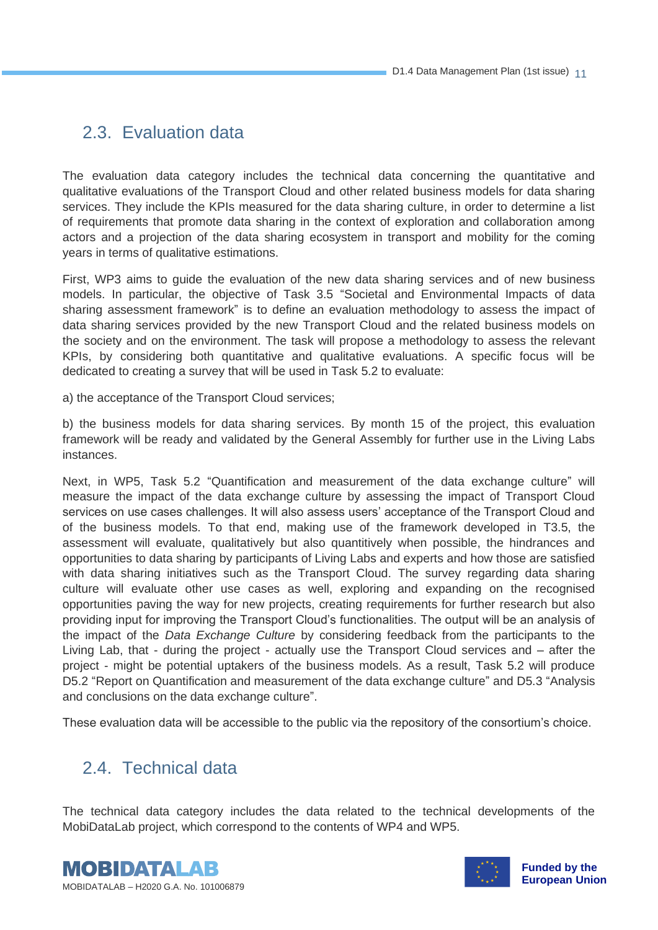#### 2.3. Evaluation data

The evaluation data category includes the technical data concerning the quantitative and qualitative evaluations of the Transport Cloud and other related business models for data sharing services. They include the KPIs measured for the data sharing culture, in order to determine a list of requirements that promote data sharing in the context of exploration and collaboration among actors and a projection of the data sharing ecosystem in transport and mobility for the coming years in terms of qualitative estimations.

First, WP3 aims to guide the evaluation of the new data sharing services and of new business models. In particular, the objective of Task 3.5 "Societal and Environmental Impacts of data sharing assessment framework" is to define an evaluation methodology to assess the impact of data sharing services provided by the new Transport Cloud and the related business models on the society and on the environment. The task will propose a methodology to assess the relevant KPIs, by considering both quantitative and qualitative evaluations. A specific focus will be dedicated to creating a survey that will be used in Task 5.2 to evaluate:

a) the acceptance of the Transport Cloud services;

b) the business models for data sharing services. By month 15 of the project, this evaluation framework will be ready and validated by the General Assembly for further use in the Living Labs instances.

Next, in WP5, Task 5.2 "Quantification and measurement of the data exchange culture" will measure the impact of the data exchange culture by assessing the impact of Transport Cloud services on use cases challenges. It will also assess users' acceptance of the Transport Cloud and of the business models. To that end, making use of the framework developed in T3.5, the assessment will evaluate, qualitatively but also quantitively when possible, the hindrances and opportunities to data sharing by participants of Living Labs and experts and how those are satisfied with data sharing initiatives such as the Transport Cloud. The survey regarding data sharing culture will evaluate other use cases as well, exploring and expanding on the recognised opportunities paving the way for new projects, creating requirements for further research but also providing input for improving the Transport Cloud's functionalities. The output will be an analysis of the impact of the *Data Exchange Culture* by considering feedback from the participants to the Living Lab, that - during the project - actually use the Transport Cloud services and – after the project - might be potential uptakers of the business models. As a result, Task 5.2 will produce D5.2 "Report on Quantification and measurement of the data exchange culture" and D5.3 "Analysis and conclusions on the data exchange culture".

These evaluation data will be accessible to the public via the repository of the consortium's choice.

#### 2.4. Technical data

The technical data category includes the data related to the technical developments of the MobiDataLab project, which correspond to the contents of WP4 and WP5.



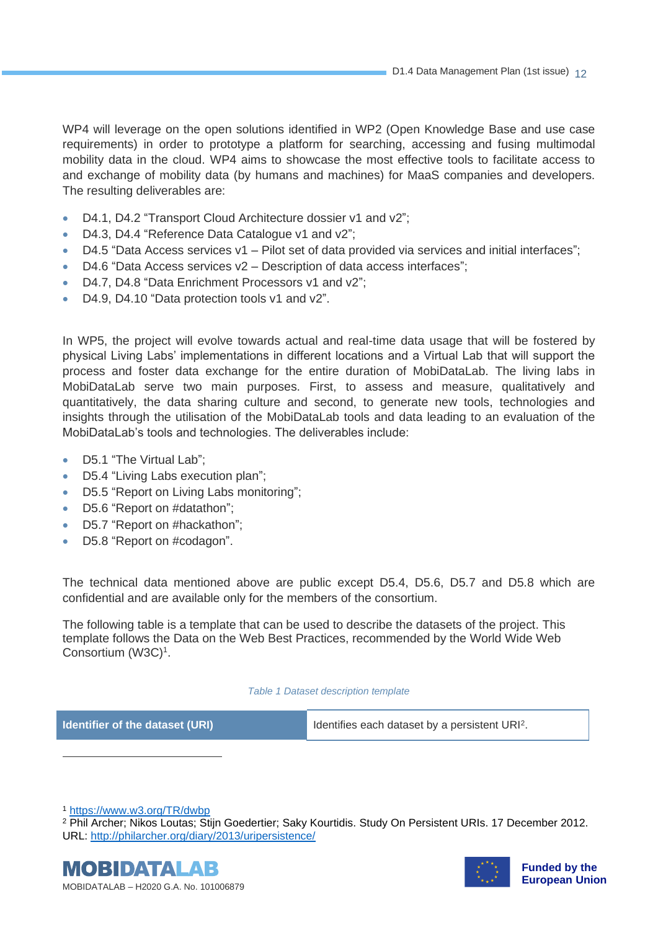WP4 will leverage on the open solutions identified in WP2 (Open Knowledge Base and use case requirements) in order to prototype a platform for searching, accessing and fusing multimodal mobility data in the cloud. WP4 aims to showcase the most effective tools to facilitate access to and exchange of mobility data (by humans and machines) for MaaS companies and developers. The resulting deliverables are:

- D4.1, D4.2 "Transport Cloud Architecture dossier v1 and v2";
- D4.3, D4.4 "Reference Data Catalogue v1 and v2";
- D4.5 "Data Access services  $v1$  Pilot set of data provided via services and initial interfaces";
- D4.6 "Data Access services v2 Description of data access interfaces";
- D4.7, D4.8 "Data Enrichment Processors v1 and v2";
- D4.9, D4.10 "Data protection tools v1 and v2".

In WP5, the project will evolve towards actual and real-time data usage that will be fostered by physical Living Labs' implementations in different locations and a Virtual Lab that will support the process and foster data exchange for the entire duration of MobiDataLab. The living labs in MobiDataLab serve two main purposes. First, to assess and measure, qualitatively and quantitatively, the data sharing culture and second, to generate new tools, technologies and insights through the utilisation of the MobiDataLab tools and data leading to an evaluation of the MobiDataLab's tools and technologies. The deliverables include:

- D5.1 "The Virtual Lab";
- D5.4 "Living Labs execution plan";
- D5.5 "Report on Living Labs monitoring";
- D5.6 "Report on #datathon";
- D5.7 "Report on #hackathon";
- D5.8 "Report on #codagon".

The technical data mentioned above are public except D5.4, D5.6, D5.7 and D5.8 which are confidential and are available only for the members of the consortium.

The following table is a template that can be used to describe the datasets of the project. This template follows the Data on the Web Best Practices, recommended by the World Wide Web Consortium (W3C)<sup>1</sup>.

#### *Table 1 Dataset description template*

<span id="page-11-0"></span>

**Identifier of the dataset (URI)** Identifies each dataset by a persistent URI<sup>2</sup>.

<sup>1</sup> <https://www.w3.org/TR/dwbp>

<sup>2</sup> Phil Archer; Nikos Loutas; Stijn Goedertier; Saky Kourtidis. Study On Persistent URIs. 17 December 2012. URL:<http://philarcher.org/diary/2013/uripersistence/>



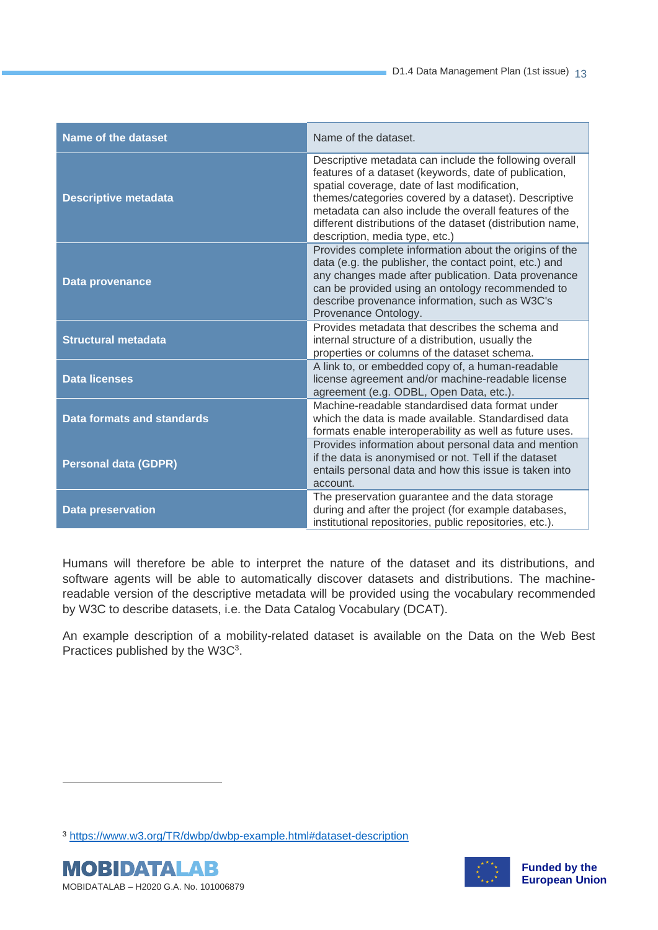| Name of the dataset               | Name of the dataset.                                                                                                                                                                                                                                                                                                                                                             |
|-----------------------------------|----------------------------------------------------------------------------------------------------------------------------------------------------------------------------------------------------------------------------------------------------------------------------------------------------------------------------------------------------------------------------------|
| <b>Descriptive metadata</b>       | Descriptive metadata can include the following overall<br>features of a dataset (keywords, date of publication,<br>spatial coverage, date of last modification,<br>themes/categories covered by a dataset). Descriptive<br>metadata can also include the overall features of the<br>different distributions of the dataset (distribution name,<br>description, media type, etc.) |
| <b>Data provenance</b>            | Provides complete information about the origins of the<br>data (e.g. the publisher, the contact point, etc.) and<br>any changes made after publication. Data provenance<br>can be provided using an ontology recommended to<br>describe provenance information, such as W3C's<br>Provenance Ontology.                                                                            |
| <b>Structural metadata</b>        | Provides metadata that describes the schema and<br>internal structure of a distribution, usually the<br>properties or columns of the dataset schema.                                                                                                                                                                                                                             |
| <b>Data licenses</b>              | A link to, or embedded copy of, a human-readable<br>license agreement and/or machine-readable license<br>agreement (e.g. ODBL, Open Data, etc.).                                                                                                                                                                                                                                 |
| <b>Data formats and standards</b> | Machine-readable standardised data format under<br>which the data is made available. Standardised data<br>formats enable interoperability as well as future uses.                                                                                                                                                                                                                |
| <b>Personal data (GDPR)</b>       | Provides information about personal data and mention<br>if the data is anonymised or not. Tell if the dataset<br>entails personal data and how this issue is taken into<br>account.                                                                                                                                                                                              |
| <b>Data preservation</b>          | The preservation guarantee and the data storage<br>during and after the project (for example databases,<br>institutional repositories, public repositories, etc.).                                                                                                                                                                                                               |

Humans will therefore be able to interpret the nature of the dataset and its distributions, and software agents will be able to automatically discover datasets and distributions. The machinereadable version of the descriptive metadata will be provided using the vocabulary recommended by W3C to describe datasets, i.e. the Data Catalog Vocabulary (DCAT).

An example description of a mobility-related dataset is available on the Data on the Web Best Practices published by the  $W3C<sup>3</sup>$ .

<sup>3</sup> <https://www.w3.org/TR/dwbp/dwbp-example.html#dataset-description>



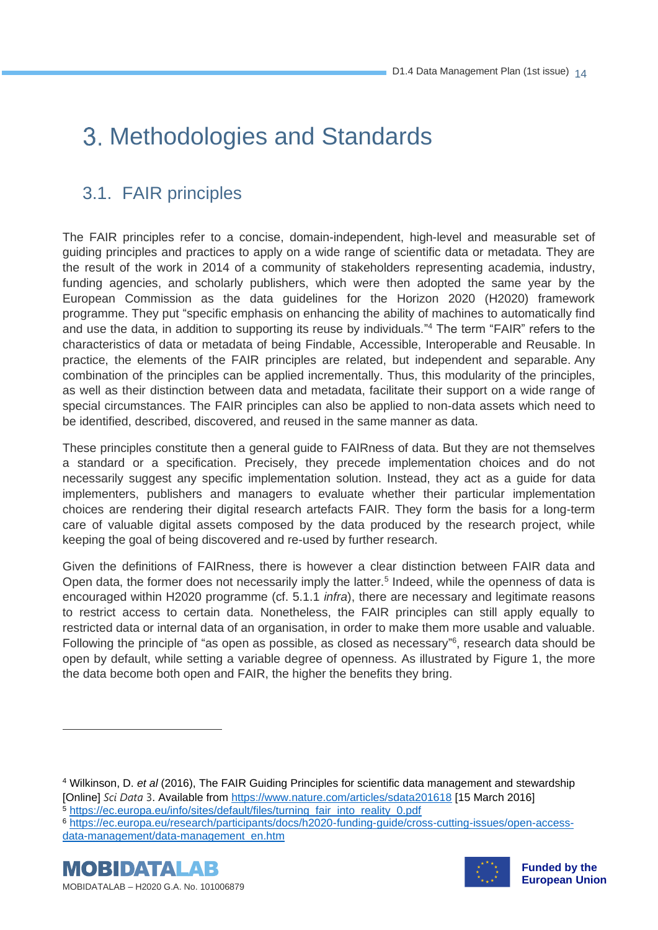# Methodologies and Standards

### 3.1. FAIR principles

The FAIR principles refer to a concise, domain-independent, high-level and measurable set of guiding principles and practices to apply on a wide range of scientific data or metadata. They are the result of the work in 2014 of a community of stakeholders representing academia, industry, funding agencies, and scholarly publishers, which were then adopted the same year by the European Commission as the data guidelines for the Horizon 2020 (H2020) framework programme. They put "specific emphasis on enhancing the ability of machines to automatically find and use the data, in addition to supporting its reuse by individuals." <sup>4</sup> The term "FAIR" refers to the characteristics of data or metadata of being Findable, Accessible, Interoperable and Reusable. In practice, the elements of the FAIR principles are related, but independent and separable. Any combination of the principles can be applied incrementally. Thus, this modularity of the principles, as well as their distinction between data and metadata, facilitate their support on a wide range of special circumstances. The FAIR principles can also be applied to non-data assets which need to be identified, described, discovered, and reused in the same manner as data.

These principles constitute then a general guide to FAIRness of data. But they are not themselves a standard or a specification. Precisely, they precede implementation choices and do not necessarily suggest any specific implementation solution. Instead, they act as a guide for data implementers, publishers and managers to evaluate whether their particular implementation choices are rendering their digital research artefacts FAIR. They form the basis for a long-term care of valuable digital assets composed by the data produced by the research project, while keeping the goal of being discovered and re-used by further research.

Given the definitions of FAIRness, there is however a clear distinction between FAIR data and Open data, the former does not necessarily imply the latter.<sup>5</sup> Indeed, while the openness of data is encouraged within H2020 programme (cf. 5.1.1 *infra*), there are necessary and legitimate reasons to restrict access to certain data. Nonetheless, the FAIR principles can still apply equally to restricted data or internal data of an organisation, in order to make them more usable and valuable. Following the principle of "as open as possible, as closed as necessary"<sup>6</sup>, research data should be open by default, while setting a variable degree of openness. As illustrated by Figure 1, the more the data become both open and FAIR, the higher the benefits they bring.

<sup>4</sup> Wilkinson, D. *et al* (2016), The FAIR Guiding Principles for scientific data management and stewardship [Online] *Sci Data* 3. Available from<https://www.nature.com/articles/sdata201618> [15 March 2016]

<sup>5</sup> [https://ec.europa.eu/info/sites/default/files/turning\\_fair\\_into\\_reality\\_0.pdf](https://ec.europa.eu/info/sites/default/files/turning_fair_into_reality_0.pdf)

<sup>6</sup> [https://ec.europa.eu/research/participants/docs/h2020-funding-guide/cross-cutting-issues/open-access](https://ec.europa.eu/research/participants/docs/h2020-funding-guide/cross-cutting-issues/open-access-data-management/data-management_en.htm)[data-management/data-management\\_en.htm](https://ec.europa.eu/research/participants/docs/h2020-funding-guide/cross-cutting-issues/open-access-data-management/data-management_en.htm)





**Funded by the European Union**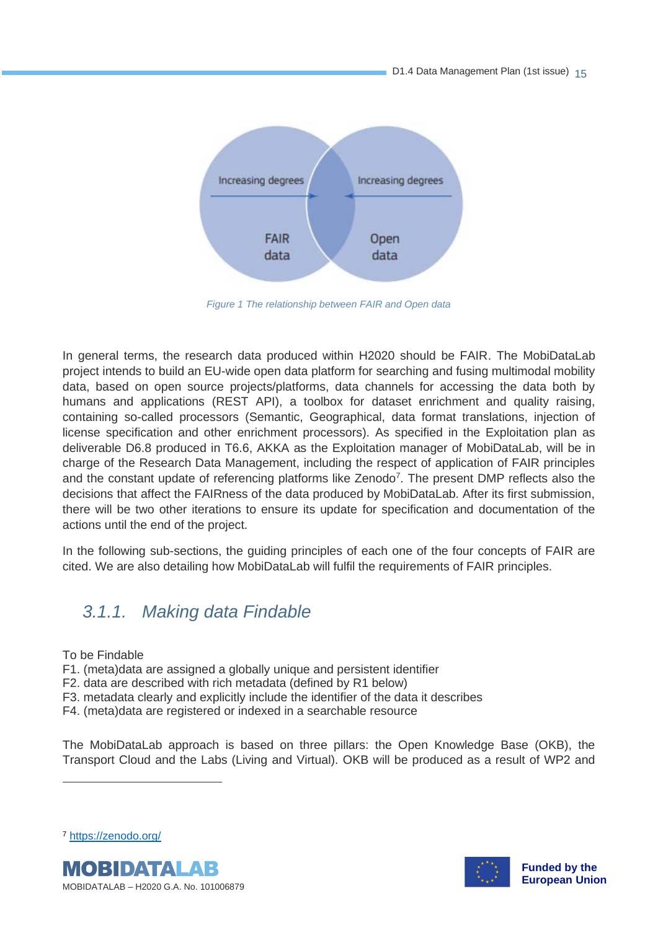

*Figure 1 The relationship between FAIR and Open data*

<span id="page-14-1"></span>In general terms, the research data produced within H2020 should be FAIR. The MobiDataLab project intends to build an EU-wide open data platform for searching and fusing multimodal mobility data, based on open source projects/platforms, data channels for accessing the data both by humans and applications (REST API), a toolbox for dataset enrichment and quality raising, containing so-called processors (Semantic, Geographical, data format translations, injection of license specification and other enrichment processors). As specified in the Exploitation plan as deliverable D6.8 produced in T6.6, AKKA as the Exploitation manager of MobiDataLab, will be in charge of the Research Data Management, including the respect of application of FAIR principles and the constant update of referencing platforms like Zenodo<sup>7</sup>. The present DMP reflects also the decisions that affect the FAIRness of the data produced by MobiDataLab. After its first submission, there will be two other iterations to ensure its update for specification and documentation of the actions until the end of the project.

In the following sub-sections, the guiding principles of each one of the four concepts of FAIR are cited. We are also detailing how MobiDataLab will fulfil the requirements of FAIR principles.

#### <span id="page-14-0"></span>*3.1.1. Making data Findable*

To be Findable

- F1. (meta)data are assigned a globally unique and persistent identifier
- F2. data are described with rich metadata (defined by R1 below)
- F3. metadata clearly and explicitly include the identifier of the data it describes
- F4. (meta)data are registered or indexed in a searchable resource

The MobiDataLab approach is based on three pillars: the Open Knowledge Base (OKB), the Transport Cloud and the Labs (Living and Virtual). OKB will be produced as a result of WP2 and





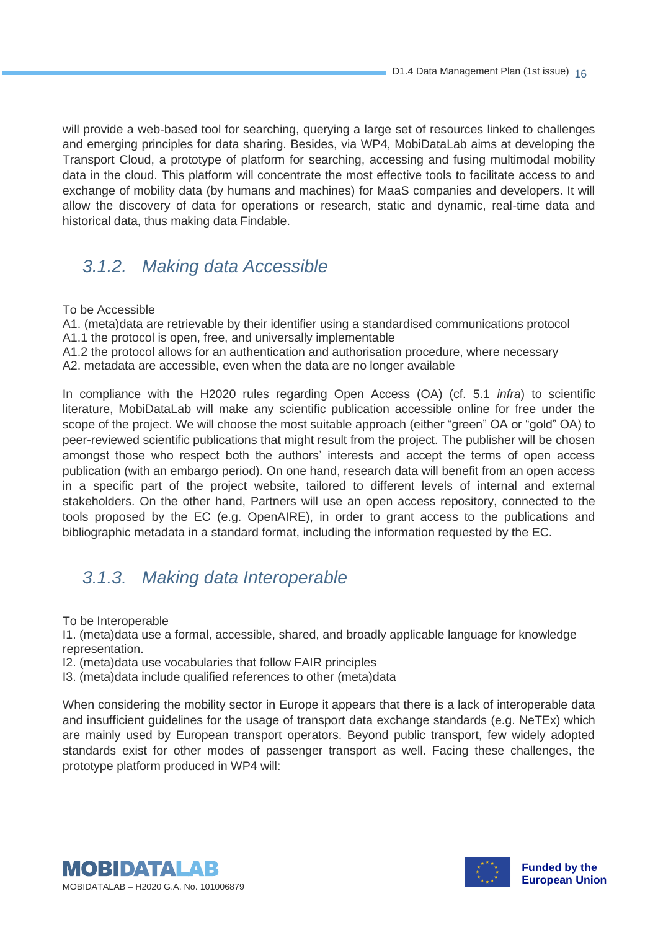will provide a web-based tool for searching, querying a large set of resources linked to challenges and emerging principles for data sharing. Besides, via WP4, MobiDataLab aims at developing the Transport Cloud, a prototype of platform for searching, accessing and fusing multimodal mobility data in the cloud. This platform will concentrate the most effective tools to facilitate access to and exchange of mobility data (by humans and machines) for MaaS companies and developers. It will allow the discovery of data for operations or research, static and dynamic, real-time data and historical data, thus making data Findable.

#### <span id="page-15-0"></span>*3.1.2. Making data Accessible*

To be Accessible

A1. (meta)data are retrievable by their identifier using a standardised communications protocol

A1.1 the protocol is open, free, and universally implementable

A1.2 the protocol allows for an authentication and authorisation procedure, where necessary

A2. metadata are accessible, even when the data are no longer available

In compliance with the H2020 rules regarding Open Access (OA) (cf. 5.1 *infra*) to scientific literature, MobiDataLab will make any scientific publication accessible online for free under the scope of the project. We will choose the most suitable approach (either "green" OA or "gold" OA) to peer-reviewed scientific publications that might result from the project. The publisher will be chosen amongst those who respect both the authors' interests and accept the terms of open access publication (with an embargo period). On one hand, research data will benefit from an open access in a specific part of the project website, tailored to different levels of internal and external stakeholders. On the other hand, Partners will use an open access repository, connected to the tools proposed by the EC (e.g. OpenAIRE), in order to grant access to the publications and bibliographic metadata in a standard format, including the information requested by the EC.

#### <span id="page-15-1"></span>*3.1.3. Making data Interoperable*

To be Interoperable

I1. (meta)data use a formal, accessible, shared, and broadly applicable language for knowledge representation.

I2. (meta)data use vocabularies that follow FAIR principles

I3. (meta)data include qualified references to other (meta)data

When considering the mobility sector in Europe it appears that there is a lack of interoperable data and insufficient guidelines for the usage of transport data exchange standards (e.g. NeTEx) which are mainly used by European transport operators. Beyond public transport, few widely adopted standards exist for other modes of passenger transport as well. Facing these challenges, the prototype platform produced in WP4 will:



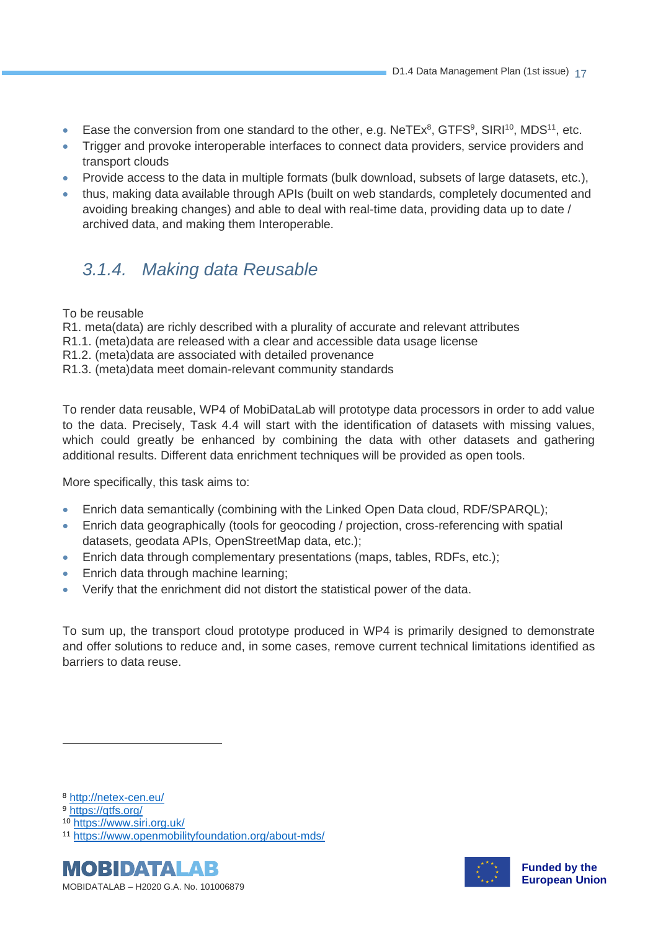- Ease the conversion from one standard to the other, e.g.  $N$ eTEx<sup>8</sup>, GTFS<sup>9</sup>, SIRI<sup>10</sup>, MDS<sup>11</sup>, etc.
- Trigger and provoke interoperable interfaces to connect data providers, service providers and transport clouds
- Provide access to the data in multiple formats (bulk download, subsets of large datasets, etc.),
- thus, making data available through APIs (built on web standards, completely documented and avoiding breaking changes) and able to deal with real-time data, providing data up to date / archived data, and making them Interoperable.

#### <span id="page-16-0"></span>*3.1.4. Making data Reusable*

To be reusable

R1. meta(data) are richly described with a plurality of accurate and relevant attributes

- R1.1. (meta)data are released with a clear and accessible data usage license
- R1.2. (meta)data are associated with detailed provenance
- R1.3. (meta)data meet domain-relevant community standards

To render data reusable, WP4 of MobiDataLab will prototype data processors in order to add value to the data. Precisely, Task 4.4 will start with the identification of datasets with missing values, which could greatly be enhanced by combining the data with other datasets and gathering additional results. Different data enrichment techniques will be provided as open tools.

More specifically, this task aims to:

- Enrich data semantically (combining with the Linked Open Data cloud, RDF/SPARQL);
- Enrich data geographically (tools for geocoding / projection, cross-referencing with spatial datasets, geodata APIs, OpenStreetMap data, etc.);
- Enrich data through complementary presentations (maps, tables, RDFs, etc.);
- Enrich data through machine learning;
- Verify that the enrichment did not distort the statistical power of the data.

To sum up, the transport cloud prototype produced in WP4 is primarily designed to demonstrate and offer solutions to reduce and, in some cases, remove current technical limitations identified as barriers to data reuse.

<sup>10</sup> <https://www.siri.org.uk/>

<sup>11</sup> <https://www.openmobilityfoundation.org/about-mds/>





<sup>8</sup> <http://netex-cen.eu/>

<sup>9</sup> <https://gtfs.org/>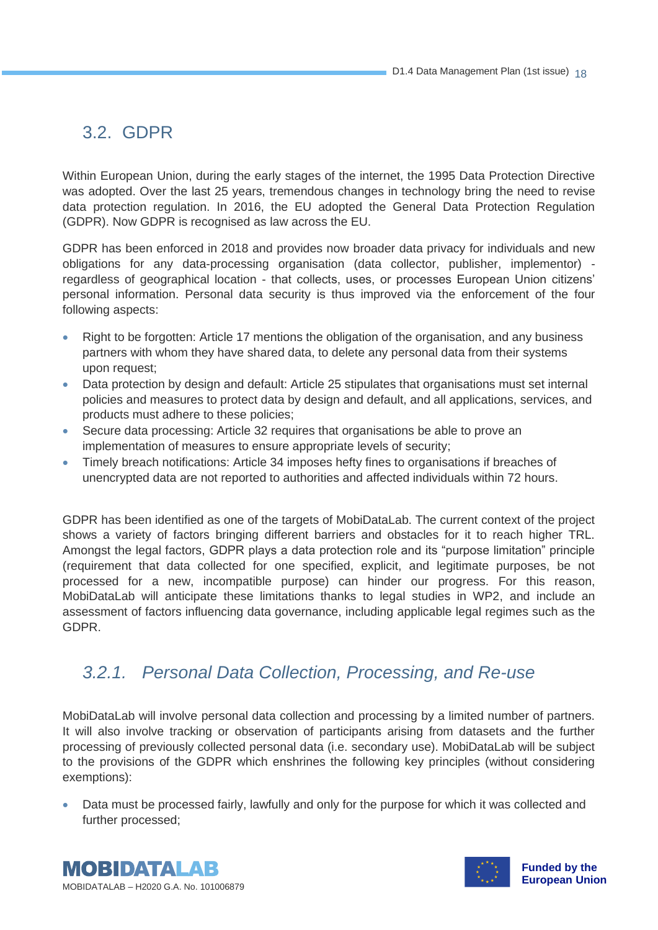#### 3.2. GDPR

Within European Union, during the early stages of the internet, the 1995 Data Protection Directive was adopted. Over the last 25 years, tremendous changes in technology bring the need to revise data protection regulation. In 2016, the EU adopted the General Data Protection Regulation (GDPR). Now GDPR is recognised as law across the EU.

GDPR has been enforced in 2018 and provides now broader data privacy for individuals and new obligations for any data-processing organisation (data collector, publisher, implementor) regardless of geographical location - that collects, uses, or processes European Union citizens' personal information. Personal data security is thus improved via the enforcement of the four following aspects:

- Right to be forgotten: Article 17 mentions the obligation of the organisation, and any business partners with whom they have shared data, to delete any personal data from their systems upon request;
- Data protection by design and default: Article 25 stipulates that organisations must set internal policies and measures to protect data by design and default, and all applications, services, and products must adhere to these policies;
- Secure data processing: Article 32 requires that organisations be able to prove an implementation of measures to ensure appropriate levels of security;
- Timely breach notifications: Article 34 imposes hefty fines to organisations if breaches of unencrypted data are not reported to authorities and affected individuals within 72 hours.

GDPR has been identified as one of the targets of MobiDataLab. The current context of the project shows a variety of factors bringing different barriers and obstacles for it to reach higher TRL. Amongst the legal factors, GDPR plays a data protection role and its "purpose limitation" principle (requirement that data collected for one specified, explicit, and legitimate purposes, be not processed for a new, incompatible purpose) can hinder our progress. For this reason, MobiDataLab will anticipate these limitations thanks to legal studies in WP2, and include an assessment of factors influencing data governance, including applicable legal regimes such as the GDPR.

#### <span id="page-17-0"></span>*3.2.1. Personal Data Collection, Processing, and Re-use*

MobiDataLab will involve personal data collection and processing by a limited number of partners. It will also involve tracking or observation of participants arising from datasets and the further processing of previously collected personal data (i.e. secondary use). MobiDataLab will be subject to the provisions of the GDPR which enshrines the following key principles (without considering exemptions):

• Data must be processed fairly, lawfully and only for the purpose for which it was collected and further processed;



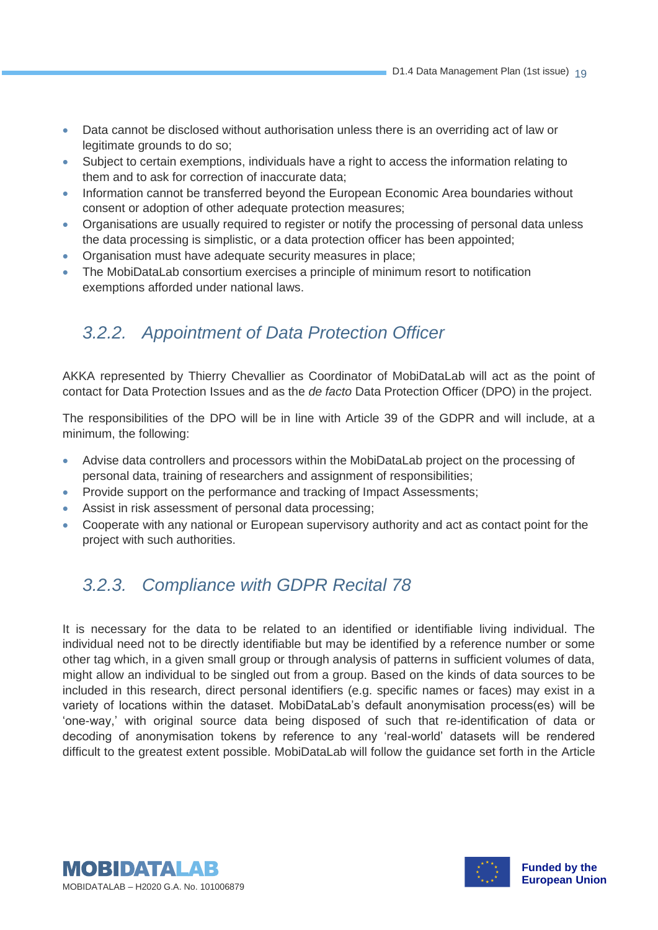- Data cannot be disclosed without authorisation unless there is an overriding act of law or legitimate grounds to do so;
- Subject to certain exemptions, individuals have a right to access the information relating to them and to ask for correction of inaccurate data;
- Information cannot be transferred beyond the European Economic Area boundaries without consent or adoption of other adequate protection measures;
- Organisations are usually required to register or notify the processing of personal data unless the data processing is simplistic, or a data protection officer has been appointed;
- Organisation must have adequate security measures in place;
- <span id="page-18-0"></span>• The MobiDataLab consortium exercises a principle of minimum resort to notification exemptions afforded under national laws.

#### *3.2.2. Appointment of Data Protection Officer*

AKKA represented by Thierry Chevallier as Coordinator of MobiDataLab will act as the point of contact for Data Protection Issues and as the *de facto* Data Protection Officer (DPO) in the project.

The responsibilities of the DPO will be in line with Article 39 of the GDPR and will include, at a minimum, the following:

- Advise data controllers and processors within the MobiDataLab project on the processing of personal data, training of researchers and assignment of responsibilities;
- Provide support on the performance and tracking of Impact Assessments;
- Assist in risk assessment of personal data processing;
- <span id="page-18-1"></span>• Cooperate with any national or European supervisory authority and act as contact point for the project with such authorities.

#### *3.2.3. Compliance with GDPR Recital 78*

It is necessary for the data to be related to an identified or identifiable living individual. The individual need not to be directly identifiable but may be identified by a reference number or some other tag which, in a given small group or through analysis of patterns in sufficient volumes of data, might allow an individual to be singled out from a group. Based on the kinds of data sources to be included in this research, direct personal identifiers (e.g. specific names or faces) may exist in a variety of locations within the dataset. MobiDataLab's default anonymisation process(es) will be 'one-way,' with original source data being disposed of such that re-identification of data or decoding of anonymisation tokens by reference to any 'real-world' datasets will be rendered difficult to the greatest extent possible. MobiDataLab will follow the guidance set forth in the Article



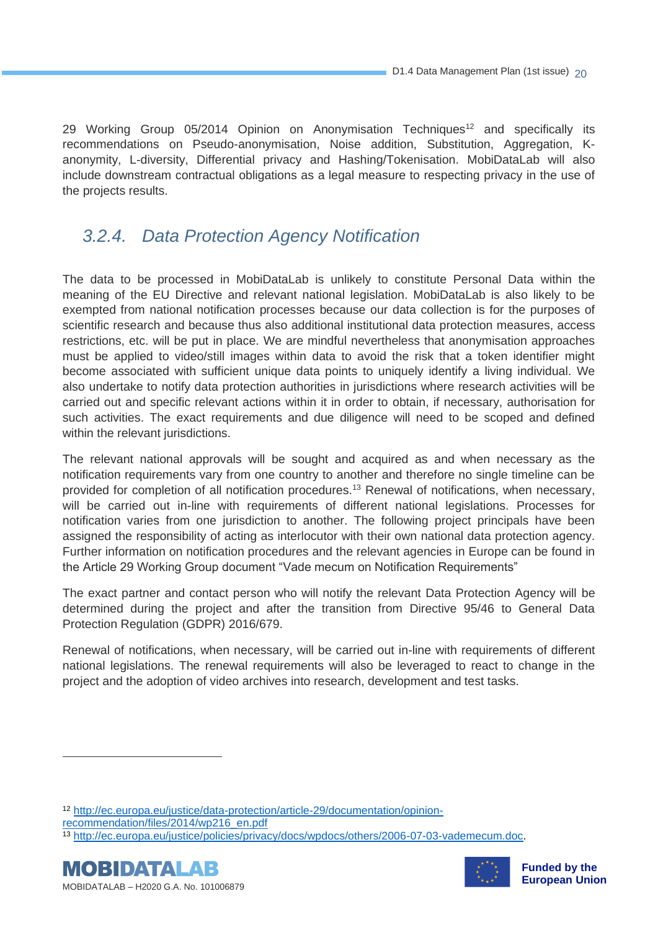29 Working Group 05/2014 Opinion on Anonymisation Techniques<sup>12</sup> and specifically its recommendations on Pseudo-anonymisation, Noise addition, Substitution, Aggregation, Kanonymity, L-diversity, Differential privacy and Hashing/Tokenisation. MobiDataLab will also include downstream contractual obligations as a legal measure to respecting privacy in the use of the projects results.

#### <span id="page-19-0"></span>*3.2.4. Data Protection Agency Notification*

The data to be processed in MobiDataLab is unlikely to constitute Personal Data within the meaning of the EU Directive and relevant national legislation. MobiDataLab is also likely to be exempted from national notification processes because our data collection is for the purposes of scientific research and because thus also additional institutional data protection measures, access restrictions, etc. will be put in place. We are mindful nevertheless that anonymisation approaches must be applied to video/still images within data to avoid the risk that a token identifier might become associated with sufficient unique data points to uniquely identify a living individual. We also undertake to notify data protection authorities in jurisdictions where research activities will be carried out and specific relevant actions within it in order to obtain, if necessary, authorisation for such activities. The exact requirements and due diligence will need to be scoped and defined within the relevant jurisdictions.

The relevant national approvals will be sought and acquired as and when necessary as the notification requirements vary from one country to another and therefore no single timeline can be provided for completion of all notification procedures.<sup>13</sup> Renewal of notifications, when necessary, will be carried out in-line with requirements of different national legislations. Processes for notification varies from one jurisdiction to another. The following project principals have been assigned the responsibility of acting as interlocutor with their own national data protection agency. Further information on notification procedures and the relevant agencies in Europe can be found in the Article 29 Working Group document "Vade mecum on Notification Requirements"

The exact partner and contact person who will notify the relevant Data Protection Agency will be determined during the project and after the transition from Directive 95/46 to General Data Protection Regulation (GDPR) 2016/679.

Renewal of notifications, when necessary, will be carried out in-line with requirements of different national legislations. The renewal requirements will also be leveraged to react to change in the project and the adoption of video archives into research, development and test tasks.

<sup>13</sup> [http://ec.europa.eu/justice/policies/privacy/docs/wpdocs/others/2006-07-03-vademecum.doc.](http://ec.europa.eu/justice/policies/privacy/docs/wpdocs/others/2006-07-03-vademecum.doc)





<sup>12</sup> [http://ec.europa.eu/justice/data-protection/article-29/documentation/opinion](http://ec.europa.eu/justice/data-protection/article-29/documentation/opinion-recommendation/files/2014/wp216_en.pdf)[recommendation/files/2014/wp216\\_en.pdf](http://ec.europa.eu/justice/data-protection/article-29/documentation/opinion-recommendation/files/2014/wp216_en.pdf)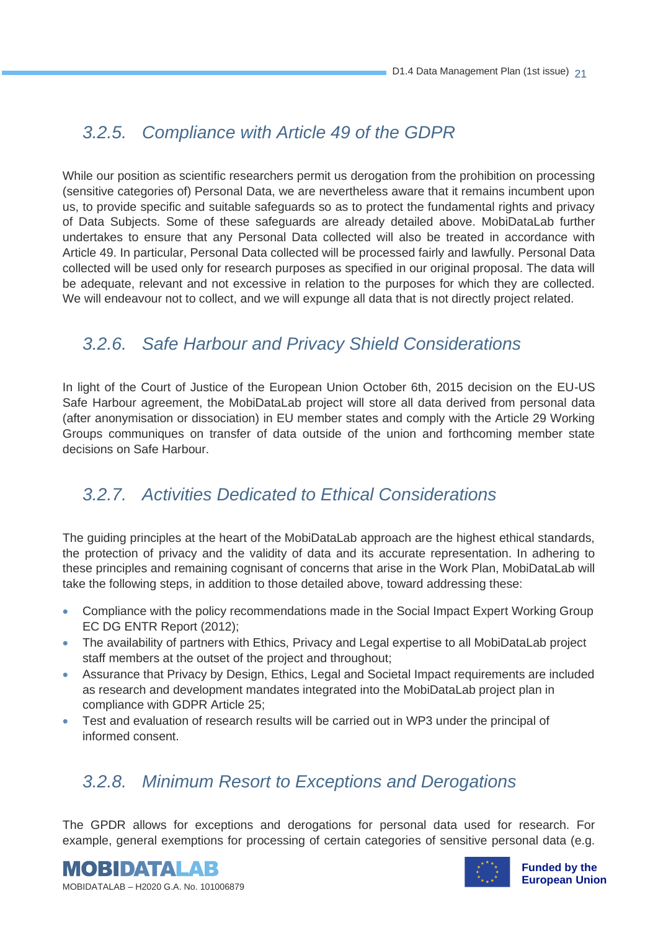#### <span id="page-20-0"></span>*3.2.5. Compliance with Article 49 of the GDPR*

While our position as scientific researchers permit us derogation from the prohibition on processing (sensitive categories of) Personal Data, we are nevertheless aware that it remains incumbent upon us, to provide specific and suitable safeguards so as to protect the fundamental rights and privacy of Data Subjects. Some of these safeguards are already detailed above. MobiDataLab further undertakes to ensure that any Personal Data collected will also be treated in accordance with Article 49. In particular, Personal Data collected will be processed fairly and lawfully. Personal Data collected will be used only for research purposes as specified in our original proposal. The data will be adequate, relevant and not excessive in relation to the purposes for which they are collected. We will endeavour not to collect, and we will expunge all data that is not directly project related.

#### <span id="page-20-1"></span>*3.2.6. Safe Harbour and Privacy Shield Considerations*

In light of the Court of Justice of the European Union October 6th, 2015 decision on the EU-US Safe Harbour agreement, the MobiDataLab project will store all data derived from personal data (after anonymisation or dissociation) in EU member states and comply with the Article 29 Working Groups communiques on transfer of data outside of the union and forthcoming member state decisions on Safe Harbour.

#### <span id="page-20-2"></span>*3.2.7. Activities Dedicated to Ethical Considerations*

The guiding principles at the heart of the MobiDataLab approach are the highest ethical standards, the protection of privacy and the validity of data and its accurate representation. In adhering to these principles and remaining cognisant of concerns that arise in the Work Plan, MobiDataLab will take the following steps, in addition to those detailed above, toward addressing these:

- Compliance with the policy recommendations made in the Social Impact Expert Working Group EC DG ENTR Report (2012);
- The availability of partners with Ethics, Privacy and Legal expertise to all MobiDataLab project staff members at the outset of the project and throughout;
- Assurance that Privacy by Design, Ethics, Legal and Societal Impact requirements are included as research and development mandates integrated into the MobiDataLab project plan in compliance with GDPR Article 25;
- <span id="page-20-3"></span>• Test and evaluation of research results will be carried out in WP3 under the principal of informed consent.

#### *3.2.8. Minimum Resort to Exceptions and Derogations*

The GPDR allows for exceptions and derogations for personal data used for research. For example, general exemptions for processing of certain categories of sensitive personal data (e.g.





**Funded by the European Union**

MOBIDATALAB – H2020 G.A. No. 101006879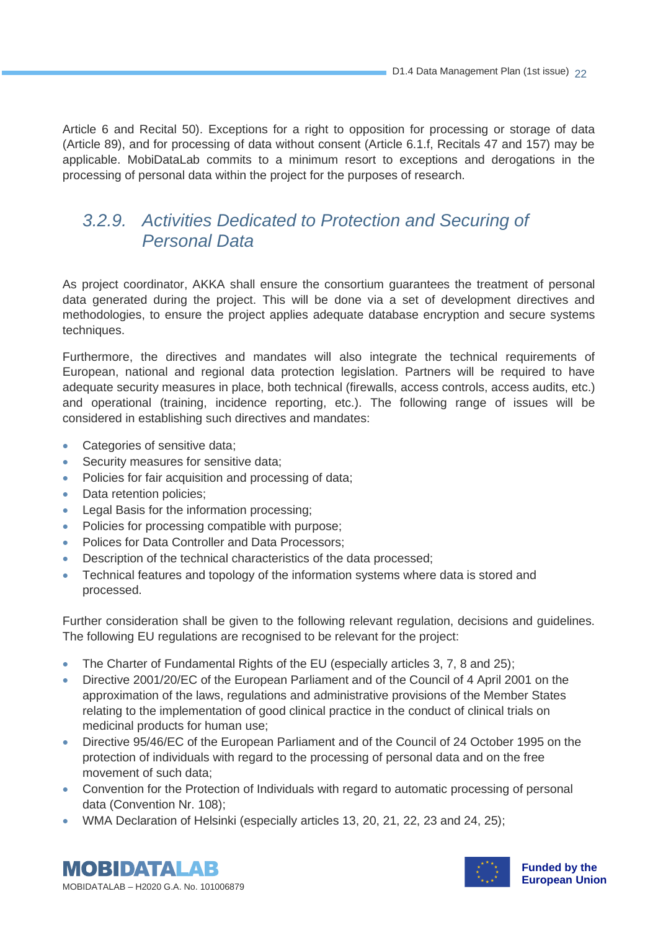Article 6 and Recital 50). Exceptions for a right to opposition for processing or storage of data (Article 89), and for processing of data without consent (Article 6.1.f, Recitals 47 and 157) may be applicable. MobiDataLab commits to a minimum resort to exceptions and derogations in the processing of personal data within the project for the purposes of research.

#### <span id="page-21-0"></span>*3.2.9. Activities Dedicated to Protection and Securing of Personal Data*

As project coordinator, AKKA shall ensure the consortium guarantees the treatment of personal data generated during the project. This will be done via a set of development directives and methodologies, to ensure the project applies adequate database encryption and secure systems techniques.

Furthermore, the directives and mandates will also integrate the technical requirements of European, national and regional data protection legislation. Partners will be required to have adequate security measures in place, both technical (firewalls, access controls, access audits, etc.) and operational (training, incidence reporting, etc.). The following range of issues will be considered in establishing such directives and mandates:

- Categories of sensitive data;
- Security measures for sensitive data;
- Policies for fair acquisition and processing of data;
- Data retention policies;
- Legal Basis for the information processing;
- Policies for processing compatible with purpose;
- Polices for Data Controller and Data Processors:
- Description of the technical characteristics of the data processed;
- Technical features and topology of the information systems where data is stored and processed.

Further consideration shall be given to the following relevant regulation, decisions and guidelines. The following EU regulations are recognised to be relevant for the project:

- The Charter of Fundamental Rights of the EU (especially articles 3, 7, 8 and 25);
- Directive 2001/20/EC of the European Parliament and of the Council of 4 April 2001 on the approximation of the laws, regulations and administrative provisions of the Member States relating to the implementation of good clinical practice in the conduct of clinical trials on medicinal products for human use;
- Directive 95/46/EC of the European Parliament and of the Council of 24 October 1995 on the protection of individuals with regard to the processing of personal data and on the free movement of such data;
- Convention for the Protection of Individuals with regard to automatic processing of personal data (Convention Nr. 108);
- WMA Declaration of Helsinki (especially articles 13, 20, 21, 22, 23 and 24, 25);

**MOBIDATALAB** MOBIDATALAB – H2020 G.A. No. 101006879

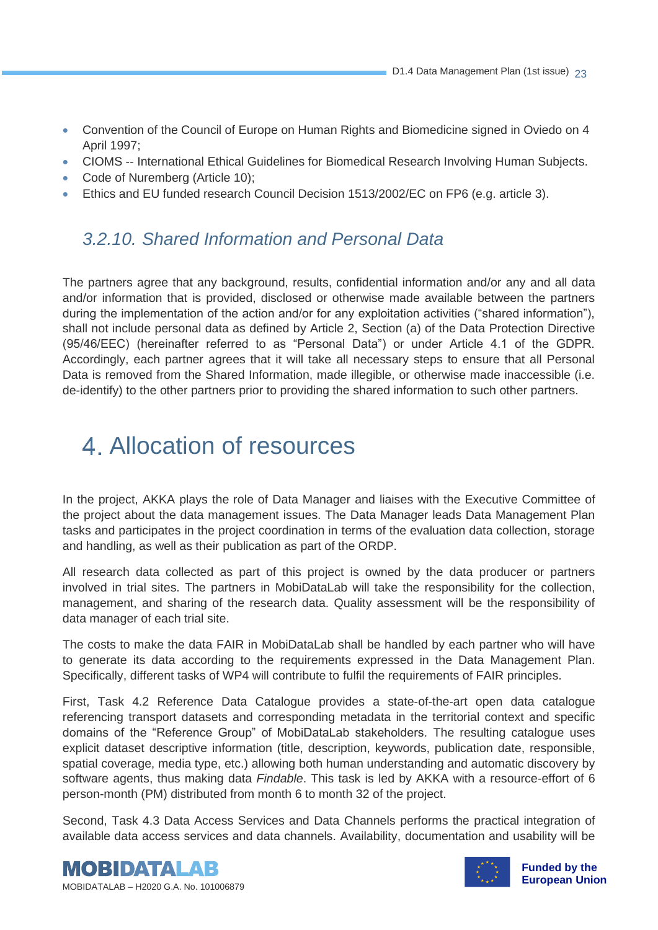- Convention of the Council of Europe on Human Rights and Biomedicine signed in Oviedo on 4 April 1997;
- CIOMS -- International Ethical Guidelines for Biomedical Research Involving Human Subjects.
- Code of Nuremberg (Article 10);
- <span id="page-22-0"></span>• Ethics and EU funded research Council Decision 1513/2002/EC on FP6 (e.g. article 3).

#### *3.2.10. Shared Information and Personal Data*

The partners agree that any background, results, confidential information and/or any and all data and/or information that is provided, disclosed or otherwise made available between the partners during the implementation of the action and/or for any exploitation activities ("shared information"), shall not include personal data as defined by Article 2, Section (a) of the Data Protection Directive (95/46/EEC) (hereinafter referred to as "Personal Data") or under Article 4.1 of the GDPR. Accordingly, each partner agrees that it will take all necessary steps to ensure that all Personal Data is removed from the Shared Information, made illegible, or otherwise made inaccessible (i.e. de-identify) to the other partners prior to providing the shared information to such other partners.

### Allocation of resources

In the project, AKKA plays the role of Data Manager and liaises with the Executive Committee of the project about the data management issues. The Data Manager leads Data Management Plan tasks and participates in the project coordination in terms of the evaluation data collection, storage and handling, as well as their publication as part of the ORDP.

All research data collected as part of this project is owned by the data producer or partners involved in trial sites. The partners in MobiDataLab will take the responsibility for the collection, management, and sharing of the research data. Quality assessment will be the responsibility of data manager of each trial site.

The costs to make the data FAIR in MobiDataLab shall be handled by each partner who will have to generate its data according to the requirements expressed in the Data Management Plan. Specifically, different tasks of WP4 will contribute to fulfil the requirements of FAIR principles.

First, Task 4.2 Reference Data Catalogue provides a state-of-the-art open data catalogue referencing transport datasets and corresponding metadata in the territorial context and specific domains of the "Reference Group" of MobiDataLab stakeholders. The resulting catalogue uses explicit dataset descriptive information (title, description, keywords, publication date, responsible, spatial coverage, media type, etc.) allowing both human understanding and automatic discovery by software agents, thus making data *Findable*. This task is led by AKKA with a resource-effort of 6 person-month (PM) distributed from month 6 to month 32 of the project.

Second, Task 4.3 Data Access Services and Data Channels performs the practical integration of available data access services and data channels. Availability, documentation and usability will be





**Funded by the European Union**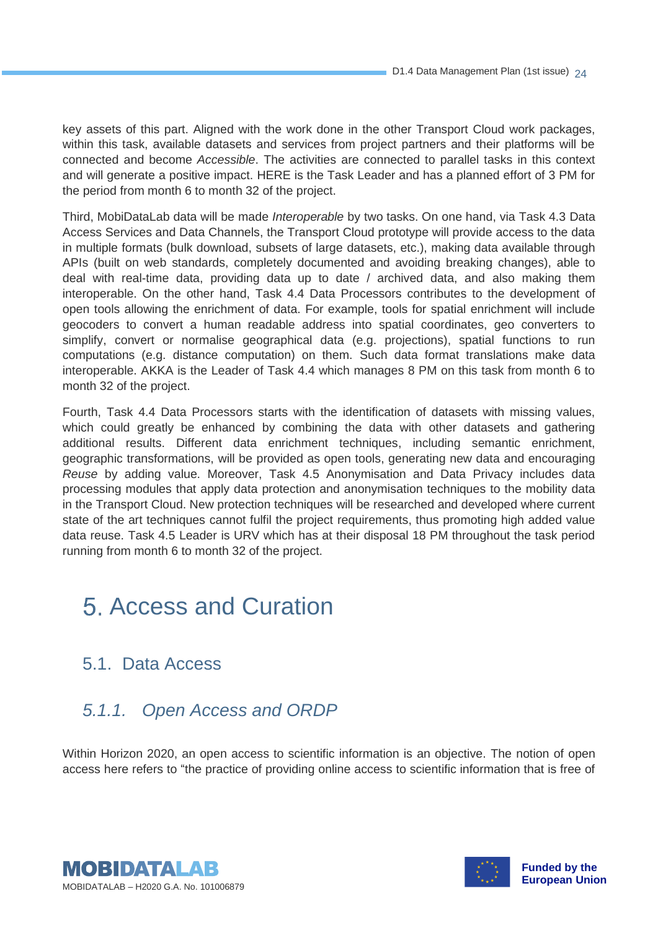key assets of this part. Aligned with the work done in the other Transport Cloud work packages, within this task, available datasets and services from project partners and their platforms will be connected and become *Accessible*. The activities are connected to parallel tasks in this context and will generate a positive impact. HERE is the Task Leader and has a planned effort of 3 PM for the period from month 6 to month 32 of the project.

Third, MobiDataLab data will be made *Interoperable* by two tasks. On one hand, via Task 4.3 Data Access Services and Data Channels, the Transport Cloud prototype will provide access to the data in multiple formats (bulk download, subsets of large datasets, etc.), making data available through APIs (built on web standards, completely documented and avoiding breaking changes), able to deal with real-time data, providing data up to date / archived data, and also making them interoperable. On the other hand, Task 4.4 Data Processors contributes to the development of open tools allowing the enrichment of data. For example, tools for spatial enrichment will include geocoders to convert a human readable address into spatial coordinates, geo converters to simplify, convert or normalise geographical data (e.g. projections), spatial functions to run computations (e.g. distance computation) on them. Such data format translations make data interoperable. AKKA is the Leader of Task 4.4 which manages 8 PM on this task from month 6 to month 32 of the project.

Fourth, Task 4.4 Data Processors starts with the identification of datasets with missing values, which could greatly be enhanced by combining the data with other datasets and gathering additional results. Different data enrichment techniques, including semantic enrichment, geographic transformations, will be provided as open tools, generating new data and encouraging *Reuse* by adding value. Moreover, Task 4.5 Anonymisation and Data Privacy includes data processing modules that apply data protection and anonymisation techniques to the mobility data in the Transport Cloud. New protection techniques will be researched and developed where current state of the art techniques cannot fulfil the project requirements, thus promoting high added value data reuse. Task 4.5 Leader is URV which has at their disposal 18 PM throughout the task period running from month 6 to month 32 of the project.

### Access and Curation

#### 5.1. Data Access

#### <span id="page-23-0"></span>*5.1.1. Open Access and ORDP*

Within Horizon 2020, an open access to scientific information is an objective. The notion of open access here refers to "the practice of providing online access to scientific information that is free of



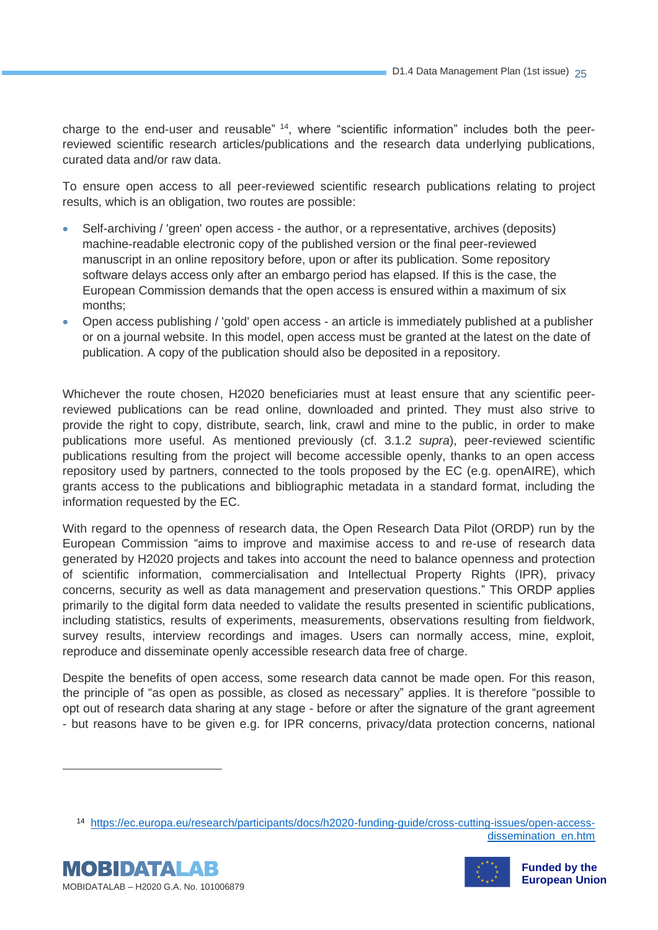charge to the end-user and reusable" <sup>14</sup>, where "scientific information" includes both the peerreviewed scientific research articles/publications and the research data underlying publications, curated data and/or raw data.

To ensure open access to all peer-reviewed scientific research publications relating to project results, which is an obligation, two routes are possible:

- Self-archiving / 'green' open access the author, or a representative, archives (deposits) machine-readable electronic copy of the published version or the final peer-reviewed manuscript in an online repository before, upon or after its publication. Some repository software delays access only after an embargo period has elapsed. If this is the case, the European Commission demands that the open access is ensured within a maximum of six months;
- Open access publishing / 'gold' open access an article is immediately published at a publisher or on a journal website. In this model, open access must be granted at the latest on the date of publication. A copy of the publication should also be deposited in a repository.

Whichever the route chosen, H2020 beneficiaries must at least ensure that any scientific peerreviewed publications can be read online, downloaded and printed. They must also strive to provide the right to copy, distribute, search, link, crawl and mine to the public, in order to make publications more useful. As mentioned previously (cf. 3.1.2 *supra*), peer-reviewed scientific publications resulting from the project will become accessible openly, thanks to an open access repository used by partners, connected to the tools proposed by the EC (e.g. openAIRE), which grants access to the publications and bibliographic metadata in a standard format, including the information requested by the EC.

With regard to the openness of research data, the Open Research Data Pilot (ORDP) run by the European Commission "aims to improve and maximise access to and re-use of research data generated by H2020 projects and takes into account the need to balance openness and protection of scientific information, commercialisation and Intellectual Property Rights (IPR), privacy concerns, security as well as data management and preservation questions." This ORDP applies primarily to the digital form data needed to validate the results presented in scientific publications, including statistics, results of experiments, measurements, observations resulting from fieldwork, survey results, interview recordings and images. Users can normally access, mine, exploit, reproduce and disseminate openly accessible research data free of charge.

Despite the benefits of open access, some research data cannot be made open. For this reason, the principle of "as open as possible, as closed as necessary" applies. It is therefore "possible to opt out of research data sharing at any stage - before or after the signature of the grant agreement - but reasons have to be given e.g. for IPR concerns, privacy/data protection concerns, national

14 [https://ec.europa.eu/research/participants/docs/h2020-funding-guide/cross-cutting-issues/open-access](https://ec.europa.eu/research/participants/docs/h2020-funding-guide/cross-cutting-issues/open-access-dissemination_en.htm)[dissemination\\_en.htm](https://ec.europa.eu/research/participants/docs/h2020-funding-guide/cross-cutting-issues/open-access-dissemination_en.htm)



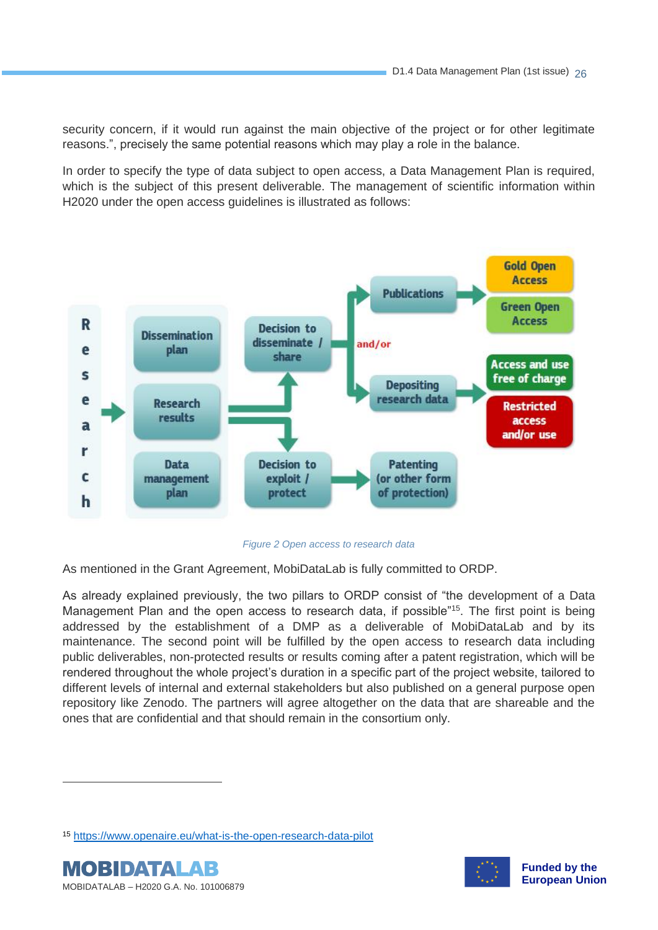security concern, if it would run against the main objective of the project or for other legitimate reasons.", precisely the same potential reasons which may play a role in the balance.

In order to specify the type of data subject to open access, a Data Management Plan is required, which is the subject of this present deliverable. The management of scientific information within H2020 under the open access guidelines is illustrated as follows:



*Figure 2 Open access to research data*

<span id="page-25-0"></span>As mentioned in the Grant Agreement, MobiDataLab is fully committed to ORDP.

As already explained previously, the two pillars to ORDP consist of "the development of a Data Management Plan and the open access to research data, if possible<sup>"15</sup>. The first point is being addressed by the establishment of a DMP as a deliverable of MobiDataLab and by its maintenance. The second point will be fulfilled by the open access to research data including public deliverables, non-protected results or results coming after a patent registration, which will be rendered throughout the whole project's duration in a specific part of the project website, tailored to different levels of internal and external stakeholders but also published on a general purpose open repository like Zenodo. The partners will agree altogether on the data that are shareable and the ones that are confidential and that should remain in the consortium only.

<sup>15</sup> <https://www.openaire.eu/what-is-the-open-research-data-pilot>



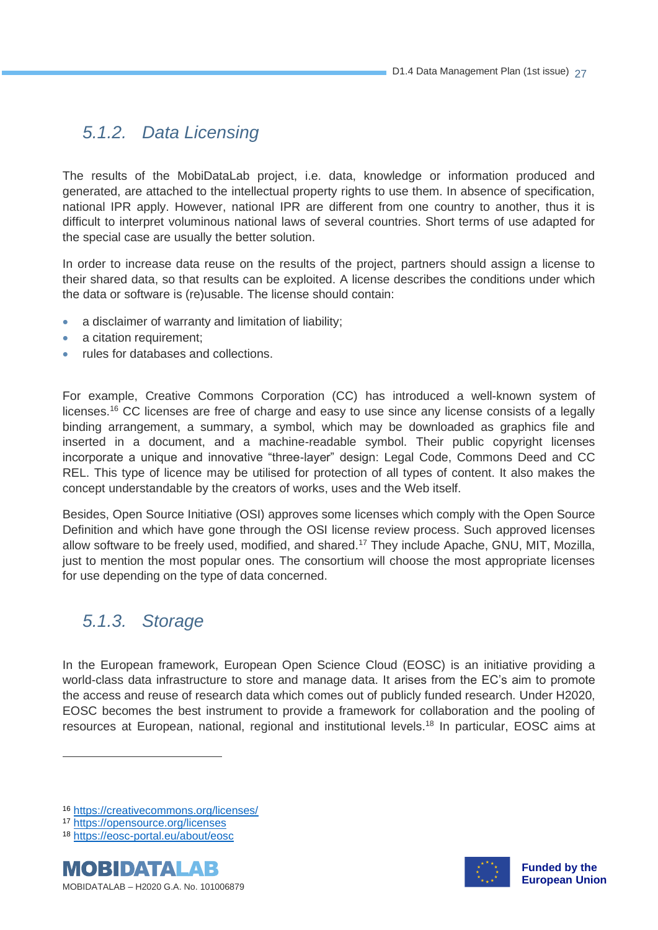#### <span id="page-26-0"></span>*5.1.2. Data Licensing*

The results of the MobiDataLab project, i.e. data, knowledge or information produced and generated, are attached to the intellectual property rights to use them. In absence of specification, national IPR apply. However, national IPR are different from one country to another, thus it is difficult to interpret voluminous national laws of several countries. Short terms of use adapted for the special case are usually the better solution.

In order to increase data reuse on the results of the project, partners should assign a license to their shared data, so that results can be exploited. A license describes the conditions under which the data or software is (re)usable. The license should contain:

- a disclaimer of warranty and limitation of liability;
- a citation requirement:
- rules for databases and collections.

For example, Creative Commons Corporation (CC) has introduced a well-known system of licenses.<sup>16</sup> CC licenses are free of charge and easy to use since any license consists of a legally binding arrangement, a summary, a symbol, which may be downloaded as graphics file and inserted in a document, and a machine-readable symbol. Their public copyright licenses incorporate a unique and innovative "three-layer" design: Legal Code, Commons Deed and CC REL. This type of licence may be utilised for protection of all types of content. It also makes the concept understandable by the creators of works, uses and the Web itself.

Besides, Open Source Initiative (OSI) approves some licenses which comply with the Open Source Definition and which have gone through the OSI license review process. Such approved licenses allow software to be freely used, modified, and shared.<sup>17</sup> They include Apache, GNU, MIT, Mozilla, just to mention the most popular ones. The consortium will choose the most appropriate licenses for use depending on the type of data concerned.

#### <span id="page-26-1"></span>*5.1.3. Storage*

In the European framework, European Open Science Cloud (EOSC) is an initiative providing a world-class data infrastructure to store and manage data. It arises from the EC's aim to promote the access and reuse of research data which comes out of publicly funded research. Under H2020, EOSC becomes the best instrument to provide a framework for collaboration and the pooling of resources at European, national, regional and institutional levels.<sup>18</sup> In particular, EOSC aims at

<sup>18</sup> <https://eosc-portal.eu/about/eosc>





<sup>16</sup> <https://creativecommons.org/licenses/>

<sup>17</sup> <https://opensource.org/licenses>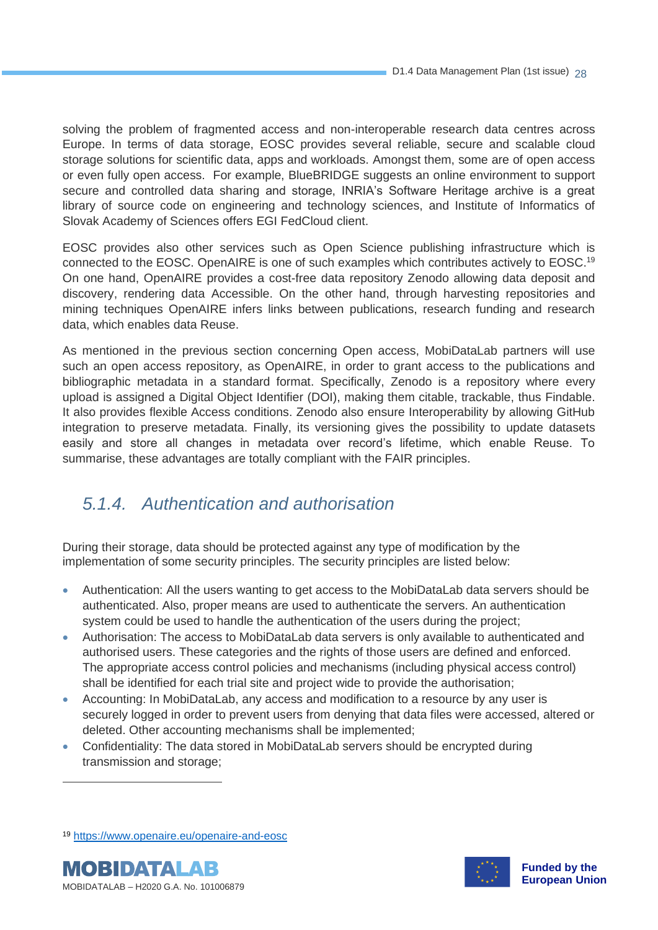solving the problem of fragmented access and non-interoperable research data centres across Europe. In terms of data storage, EOSC provides several reliable, secure and scalable cloud storage solutions for scientific data, apps and workloads. Amongst them, some are of open access or even fully open access. For example, BlueBRIDGE suggests an online environment to support secure and controlled data sharing and storage, INRIA's Software Heritage archive is a great library of source code on engineering and technology sciences, and Institute of Informatics of Slovak Academy of Sciences offers EGI FedCloud client.

EOSC provides also other services such as Open Science publishing infrastructure which is connected to the EOSC. OpenAIRE is one of such examples which contributes actively to EOSC. 19 On one hand, OpenAIRE provides a cost-free data repository Zenodo allowing data deposit and discovery, rendering data Accessible. On the other hand, through harvesting repositories and mining techniques OpenAIRE infers links between publications, research funding and research data, which enables data Reuse.

As mentioned in the previous section concerning Open access, MobiDataLab partners will use such an open access repository, as OpenAIRE, in order to grant access to the publications and bibliographic metadata in a standard format. Specifically, Zenodo is a repository where every upload is assigned a Digital Object Identifier (DOI), making them citable, trackable, thus Findable. It also provides flexible Access conditions. Zenodo also ensure Interoperability by allowing GitHub integration to preserve metadata. Finally, its versioning gives the possibility to update datasets easily and store all changes in metadata over record's lifetime, which enable Reuse. To summarise, these advantages are totally compliant with the FAIR principles.

#### <span id="page-27-0"></span>*5.1.4. Authentication and authorisation*

During their storage, data should be protected against any type of modification by the implementation of some security principles. The security principles are listed below:

- Authentication: All the users wanting to get access to the MobiDataLab data servers should be authenticated. Also, proper means are used to authenticate the servers. An authentication system could be used to handle the authentication of the users during the project;
- Authorisation: The access to MobiDataLab data servers is only available to authenticated and authorised users. These categories and the rights of those users are defined and enforced. The appropriate access control policies and mechanisms (including physical access control) shall be identified for each trial site and project wide to provide the authorisation;
- Accounting: In MobiDataLab, any access and modification to a resource by any user is securely logged in order to prevent users from denying that data files were accessed, altered or deleted. Other accounting mechanisms shall be implemented;
- Confidentiality: The data stored in MobiDataLab servers should be encrypted during transmission and storage;

<sup>19</sup> <https://www.openaire.eu/openaire-and-eosc>



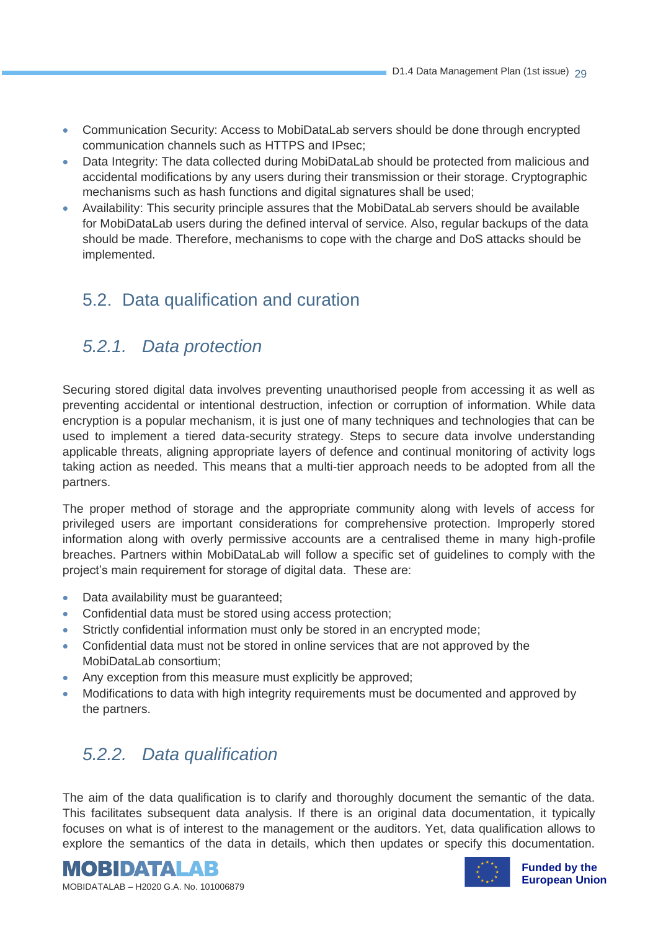- Communication Security: Access to MobiDataLab servers should be done through encrypted communication channels such as HTTPS and IPsec;
- Data Integrity: The data collected during MobiDataLab should be protected from malicious and accidental modifications by any users during their transmission or their storage. Cryptographic mechanisms such as hash functions and digital signatures shall be used;
- Availability: This security principle assures that the MobiDataLab servers should be available for MobiDataLab users during the defined interval of service. Also, regular backups of the data should be made. Therefore, mechanisms to cope with the charge and DoS attacks should be implemented.

#### 5.2. Data qualification and curation

#### <span id="page-28-0"></span>*5.2.1. Data protection*

Securing stored digital data involves preventing unauthorised people from accessing it as well as preventing accidental or intentional destruction, infection or corruption of information. While data encryption is a popular mechanism, it is just one of many techniques and technologies that can be used to implement a tiered data-security strategy. Steps to secure data involve understanding applicable threats, aligning appropriate layers of defence and continual monitoring of activity logs taking action as needed. This means that a multi-tier approach needs to be adopted from all the partners.

The proper method of storage and the appropriate community along with levels of access for privileged users are important considerations for comprehensive protection. Improperly stored information along with overly permissive accounts are a centralised theme in many high-profile breaches. Partners within MobiDataLab will follow a specific set of guidelines to comply with the project's main requirement for storage of digital data. These are:

- Data availability must be guaranteed;
- Confidential data must be stored using access protection;
- Strictly confidential information must only be stored in an encrypted mode;
- Confidential data must not be stored in online services that are not approved by the MobiDataLab consortium;
- Any exception from this measure must explicitly be approved;
- <span id="page-28-1"></span>• Modifications to data with high integrity requirements must be documented and approved by the partners.

#### *5.2.2. Data qualification*

The aim of the data qualification is to clarify and thoroughly document the semantic of the data. This facilitates subsequent data analysis. If there is an original data documentation, it typically focuses on what is of interest to the management or the auditors. Yet, data qualification allows to explore the semantics of the data in details, which then updates or specify this documentation.





**Funded by the European Union**

MOBIDATALAB – H2020 G.A. No. 101006879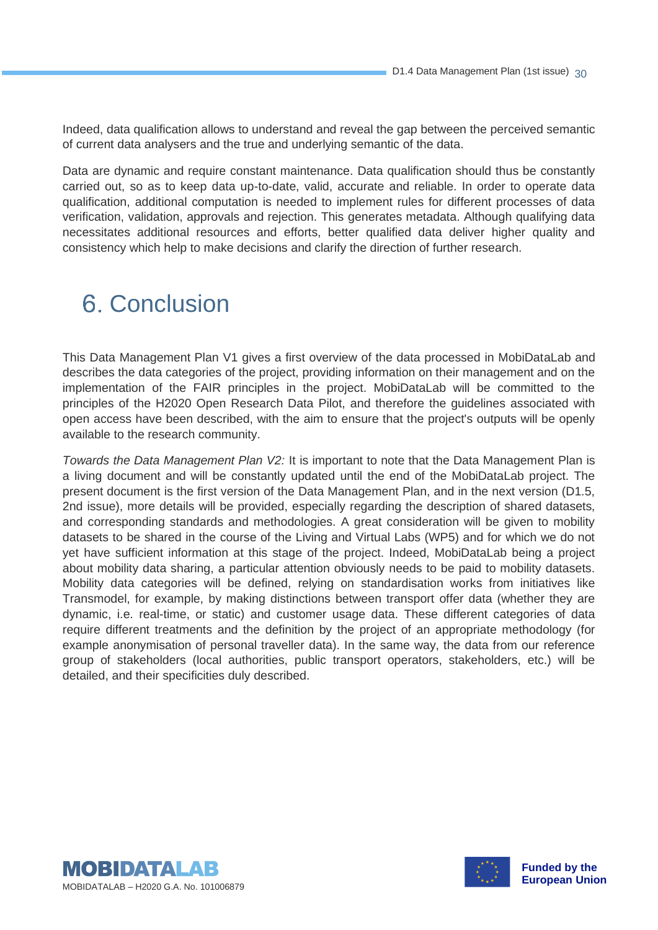Indeed, data qualification allows to understand and reveal the gap between the perceived semantic of current data analysers and the true and underlying semantic of the data.

Data are dynamic and require constant maintenance. Data qualification should thus be constantly carried out, so as to keep data up-to-date, valid, accurate and reliable. In order to operate data qualification, additional computation is needed to implement rules for different processes of data verification, validation, approvals and rejection. This generates metadata. Although qualifying data necessitates additional resources and efforts, better qualified data deliver higher quality and consistency which help to make decisions and clarify the direction of further research.

### **6. Conclusion**

This Data Management Plan V1 gives a first overview of the data processed in MobiDataLab and describes the data categories of the project, providing information on their management and on the implementation of the FAIR principles in the project. MobiDataLab will be committed to the principles of the H2020 Open Research Data Pilot, and therefore the guidelines associated with open access have been described, with the aim to ensure that the project's outputs will be openly available to the research community.

*Towards the Data Management Plan V2:* It is important to note that the Data Management Plan is a living document and will be constantly updated until the end of the MobiDataLab project. The present document is the first version of the Data Management Plan, and in the next version (D1.5, 2nd issue), more details will be provided, especially regarding the description of shared datasets, and corresponding standards and methodologies. A great consideration will be given to mobility datasets to be shared in the course of the Living and Virtual Labs (WP5) and for which we do not yet have sufficient information at this stage of the project. Indeed, MobiDataLab being a project about mobility data sharing, a particular attention obviously needs to be paid to mobility datasets. Mobility data categories will be defined, relying on standardisation works from initiatives like Transmodel, for example, by making distinctions between transport offer data (whether they are dynamic, i.e. real-time, or static) and customer usage data. These different categories of data require different treatments and the definition by the project of an appropriate methodology (for example anonymisation of personal traveller data). In the same way, the data from our reference group of stakeholders (local authorities, public transport operators, stakeholders, etc.) will be detailed, and their specificities duly described.